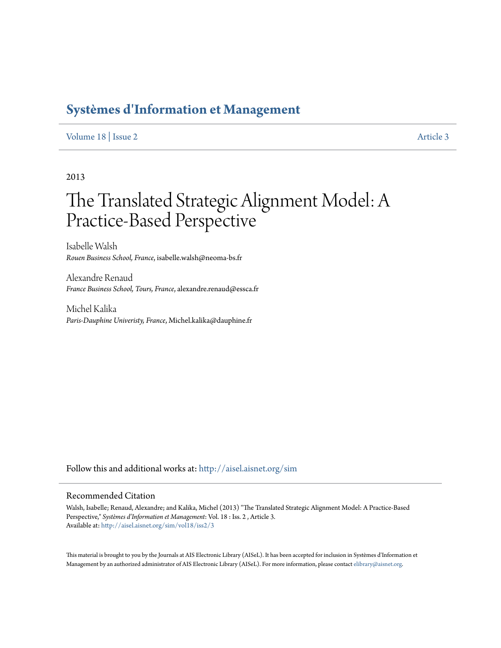# **[Systèmes d'Information et Management](http://aisel.aisnet.org/sim?utm_source=aisel.aisnet.org%2Fsim%2Fvol18%2Fiss2%2F3&utm_medium=PDF&utm_campaign=PDFCoverPages)**

# [Volume 18](http://aisel.aisnet.org/sim/vol18?utm_source=aisel.aisnet.org%2Fsim%2Fvol18%2Fiss2%2F3&utm_medium=PDF&utm_campaign=PDFCoverPages) | [Issue 2](http://aisel.aisnet.org/sim/vol18/iss2?utm_source=aisel.aisnet.org%2Fsim%2Fvol18%2Fiss2%2F3&utm_medium=PDF&utm_campaign=PDFCoverPages) [Article 3](http://aisel.aisnet.org/sim/vol18/iss2/3?utm_source=aisel.aisnet.org%2Fsim%2Fvol18%2Fiss2%2F3&utm_medium=PDF&utm_campaign=PDFCoverPages)

2013

# The Translated Strategic Alignment Model: A Practice-Based Perspective

Isabelle Walsh *Rouen Business School, France*, isabelle.walsh@neoma-bs.fr

Alexandre Renaud *France Business School, Tours, France*, alexandre.renaud@essca.fr

Michel Kalika *Paris-Dauphine Univeristy, France*, Michel.kalika@dauphine.fr

Follow this and additional works at: [http://aisel.aisnet.org/sim](http://aisel.aisnet.org/sim?utm_source=aisel.aisnet.org%2Fsim%2Fvol18%2Fiss2%2F3&utm_medium=PDF&utm_campaign=PDFCoverPages)

### Recommended Citation

Walsh, Isabelle; Renaud, Alexandre; and Kalika, Michel (2013) "The Translated Strategic Alignment Model: A Practice-Based Perspective," *Systèmes d'Information et Management*: Vol. 18 : Iss. 2 , Article 3. Available at: [http://aisel.aisnet.org/sim/vol18/iss2/3](http://aisel.aisnet.org/sim/vol18/iss2/3?utm_source=aisel.aisnet.org%2Fsim%2Fvol18%2Fiss2%2F3&utm_medium=PDF&utm_campaign=PDFCoverPages)

This material is brought to you by the Journals at AIS Electronic Library (AISeL). It has been accepted for inclusion in Systèmes d'Information et Management by an authorized administrator of AIS Electronic Library (AISeL). For more information, please contact [elibrary@aisnet.org](mailto:elibrary@aisnet.org%3E).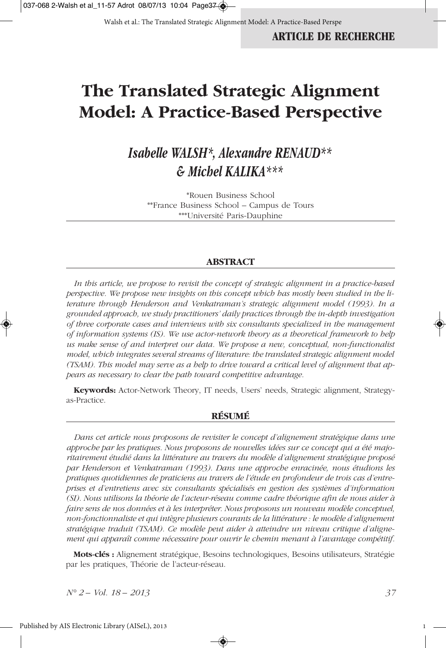# **The Translated Strategic Alignment Model: A Practice-Based Perspective**

# *Isabelle WALSH\*, Alexandre RENAUD\*\* & Michel KALIKA\*\*\**

\*Rouen Business School \*\*France Business School – Campus de Tours \*\*\*Université Paris-Dauphine

### **ABSTRACT**

*In this article, we propose to revisit the concept of strategic alignment in a practice-based perspective. We propose new insights on this concept which has mostly been studied in the literature through Henderson and Venkatraman's strategic alignment model (1993). In a grounded approach, we study practitioners' daily practices through the in-depth investigation of three corporate cases and interviews with six consultants specialized in the management of information systems (IS). We use actor-network theory as a theoretical framework to help us make sense of and interpret our data. We propose a new, conceptual, non-functionalist model, which integrates several streams of literature: the translated strategic alignment model (TSAM). This model may serve as a help to drive toward a critical level of alignment that appears as necessary to clear the path toward competitive advantage.* 

**Keywords:** Actor-Network Theory, IT needs, Users' needs, Strategic alignment, Strategyas-Practice.

### **RÉSUMÉ**

*Dans cet article nous proposons de revisiter le concept d'alignement stratégique dans une approche par les pratiques. Nous proposons de nouvelles idées sur ce concept qui a été majoritairement étudié dans la littérature au travers du modèle d'alignement stratégique proposé par Henderson et Venkatraman (1993). Dans une approche enracinée, nous étudions les pratiques quotidiennes de praticiens au travers de l'étude en profondeur de trois cas d'entreprises et d'entretiens avec six consultants spécialisés en gestion des systèmes d'information (SI). Nous utilisons la théorie de l'acteur-réseau comme cadre théorique afin de nous aider à faire sens de nos données et à les interpréter. Nous proposons un nouveau modèle conceptuel, non-fonctionnaliste et qui intègre plusieurs courants de la littérature : le modèle d'alignement stratégique traduit (TSAM). Ce modèle peut aider à atteindre un niveau critique d'alignement qui apparaît comme nécessaire pour ouvrir le chemin menant à l'avantage compétitif.*

**Mots-clés :** Alignement stratégique, Besoins technologiques, Besoins utilisateurs, Stratégie par les pratiques, Théorie de l'acteur-réseau.

◈

*N° 2 – Vol. 18 – 2013 37*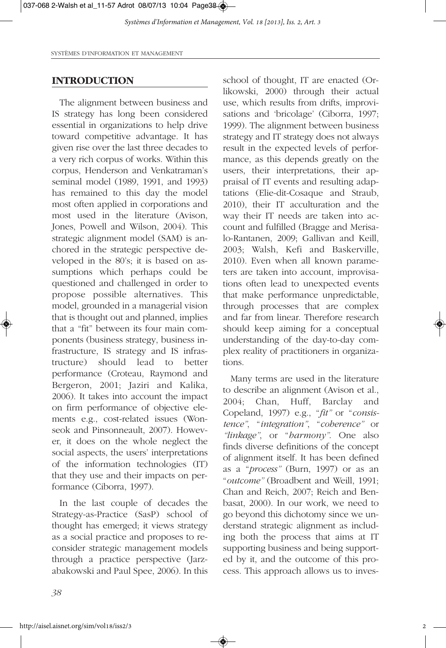SYSTÈMES D'INFORMATION ET MANAGEMENT

### **INTRODUCTION**

The alignment between business and IS strategy has long been considered essential in organizations to help drive toward competitive advantage. It has given rise over the last three decades to a very rich corpus of works. Within this corpus, Henderson and Venkatraman's seminal model (1989, 1991, and 1993) has remained to this day the model most often applied in corporations and most used in the literature (Avison, Jones, Powell and Wilson, 2004). This strategic alignment model (SAM) is anchored in the strategic perspective developed in the 80's; it is based on assumptions which perhaps could be questioned and challenged in order to propose possible alternatives. This model, grounded in a managerial vision that is thought out and planned, implies that a "fit" between its four main components (business strategy, business infrastructure, IS strategy and IS infrastructure) should lead to better performance (Croteau, Raymond and Bergeron, 2001; Jaziri and Kalika, 2006). It takes into account the impact on firm performance of objective elements e.g., cost-related issues (Wonseok and Pinsonneault, 2007). However, it does on the whole neglect the social aspects, the users' interpretations of the information technologies (IT) that they use and their impacts on performance (Ciborra, 1997).

In the last couple of decades the Strategy-as-Practice (SasP) school of thought has emerged; it views strategy as a social practice and proposes to reconsider strategic management models through a practice perspective (Jarzabakowski and Paul Spee, 2006). In this school of thought, IT are enacted (Orlikowski, 2000) through their actual use, which results from drifts, improvisations and 'bricolage' (Ciborra, 1997; 1999). The alignment between business strategy and IT strategy does not always result in the expected levels of performance, as this depends greatly on the users, their interpretations, their appraisal of IT events and resulting adaptations (Elie-dit-Cosaque and Straub, 2010), their IT acculturation and the way their IT needs are taken into account and fulfilled (Bragge and Merisalo-Rantanen, 2009; Gallivan and Keill, 2003; Walsh, Kefi and Baskerville, 2010). Even when all known parameters are taken into account, improvisations often lead to unexpected events that make performance unpredictable, through processes that are complex and far from linear. Therefore research should keep aiming for a conceptual understanding of the day-to-day complex reality of practitioners in organizations.

Many terms are used in the literature to describe an alignment (Avison et al., 2004; Chan, Huff, Barclay and Copeland, 1997) e.g., "*fit"* or "*consistence"*, "*integration"*, "*coherence"* or *"linkage"*, or "*harmony"*. One also finds diverse definitions of the concept of alignment itself. It has been defined as a "*process"* (Burn, 1997) or as an "*outcome"* (Broadbent and Weill, 1991; Chan and Reich, 2007; Reich and Benbasat, 2000). In our work, we need to go beyond this dichotomy since we understand strategic alignment as including both the process that aims at IT supporting business and being supported by it, and the outcome of this process. This approach allows us to inves-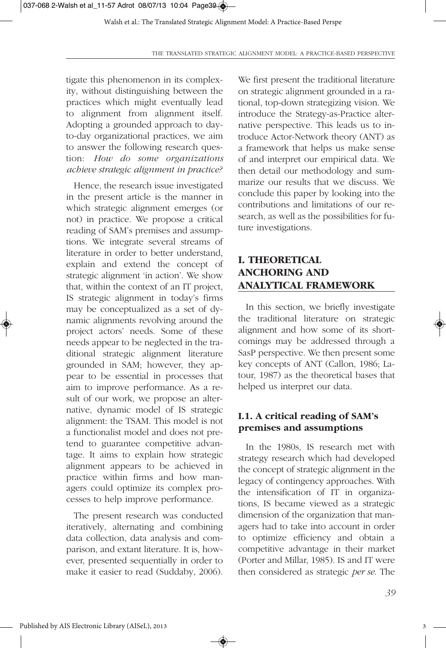tigate this phenomenon in its complexity, without distinguishing between the practices which might eventually lead to alignment from alignment itself. Adopting a grounded approach to dayto-day organizational practices, we aim to answer the following research question: *How do some organizations achieve strategic alignment in practice?*

Hence, the research issue investigated in the present article is the manner in which strategic alignment emerges (or not) in practice. We propose a critical reading of SAM's premises and assumptions. We integrate several streams of literature in order to better understand, explain and extend the concept of strategic alignment 'in action'. We show that, within the context of an IT project, IS strategic alignment in today's firms may be conceptualized as a set of dynamic alignments revolving around the project actors' needs. Some of these needs appear to be neglected in the traditional strategic alignment literature grounded in SAM; however, they appear to be essential in processes that aim to improve performance. As a result of our work, we propose an alternative, dynamic model of IS strategic alignment: the TSAM. This model is not a functionalist model and does not pretend to guarantee competitive advantage. It aims to explain how strategic alignment appears to be achieved in practice within firms and how managers could optimize its complex processes to help improve performance.

The present research was conducted iteratively, alternating and combining data collection, data analysis and comparison, and extant literature. It is, however, presented sequentially in order to make it easier to read (Suddaby, 2006). We first present the traditional literature on strategic alignment grounded in a rational, top-down strategizing vision. We introduce the Strategy-as-Practice alternative perspective. This leads us to introduce Actor-Network theory (ANT) as a framework that helps us make sense of and interpret our empirical data. We then detail our methodology and summarize our results that we discuss. We conclude this paper by looking into the contributions and limitations of our research, as well as the possibilities for future investigations.

# **I. THEORETICAL ANCHORING AND ANALYTICAL FRAMEWORK**

In this section, we briefly investigate the traditional literature on strategic alignment and how some of its shortcomings may be addressed through a SasP perspective. We then present some key concepts of ANT (Callon, 1986; Latour, 1987) as the theoretical bases that helped us interpret our data.

### **I.1. A critical reading of SAM's premises and assumptions**

In the 1980s, IS research met with strategy research which had developed the concept of strategic alignment in the legacy of contingency approaches. With the intensification of IT in organizations, IS became viewed as a strategic dimension of the organization that managers had to take into account in order to optimize efficiency and obtain a competitive advantage in their market (Porter and Millar, 1985). IS and IT were then considered as strategic *per se*. The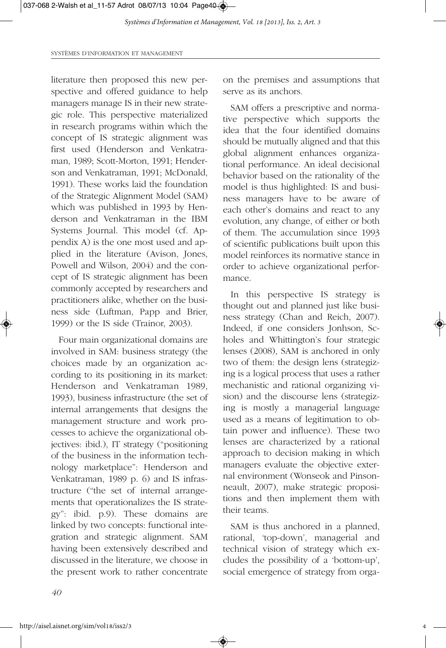SYSTÈMES D'INFORMATION ET MANAGEMENT

literature then proposed this new perspective and offered guidance to help managers manage IS in their new strategic role. This perspective materialized in research programs within which the concept of IS strategic alignment was first used (Henderson and Venkatraman, 1989; Scott-Morton, 1991; Henderson and Venkatraman, 1991; McDonald, 1991). These works laid the foundation of the Strategic Alignment Model (SAM) which was published in 1993 by Henderson and Venkatraman in the IBM Systems Journal. This model (cf. Appendix A) is the one most used and applied in the literature (Avison, Jones, Powell and Wilson, 2004) and the concept of IS strategic alignment has been commonly accepted by researchers and practitioners alike, whether on the business side (Luftman, Papp and Brier, 1999) or the IS side (Trainor, 2003).

Four main organizational domains are involved in SAM: business strategy (the choices made by an organization according to its positioning in its market: Henderson and Venkatraman 1989, 1993), business infrastructure (the set of internal arrangements that designs the management structure and work processes to achieve the organizational objectives: ibid.), IT strategy ("positioning of the business in the information technology marketplace": Henderson and Venkatraman, 1989 p. 6) and IS infrastructure ("the set of internal arrangements that operationalizes the IS strategy": ibid. p.9). These domains are linked by two concepts: functional integration and strategic alignment. SAM having been extensively described and discussed in the literature, we choose in the present work to rather concentrate

on the premises and assumptions that serve as its anchors.

SAM offers a prescriptive and normative perspective which supports the idea that the four identified domains should be mutually aligned and that this global alignment enhances organizational performance. An ideal decisional behavior based on the rationality of the model is thus highlighted: IS and business managers have to be aware of each other's domains and react to any evolution, any change, of either or both of them. The accumulation since 1993 of scientific publications built upon this model reinforces its normative stance in order to achieve organizational performance.

In this perspective IS strategy is thought out and planned just like business strategy (Chan and Reich, 2007). Indeed, if one considers Jonhson, Scholes and Whittington's four strategic lenses (2008), SAM is anchored in only two of them: the design lens (strategizing is a logical process that uses a rather mechanistic and rational organizing vision) and the discourse lens (strategizing is mostly a managerial language used as a means of legitimation to obtain power and influence). These two lenses are characterized by a rational approach to decision making in which managers evaluate the objective external environment (Wonseok and Pinsonneault, 2007), make strategic propositions and then implement them with their teams.

SAM is thus anchored in a planned, rational, 'top-down', managerial and technical vision of strategy which excludes the possibility of a 'bottom-up', social emergence of strategy from orga-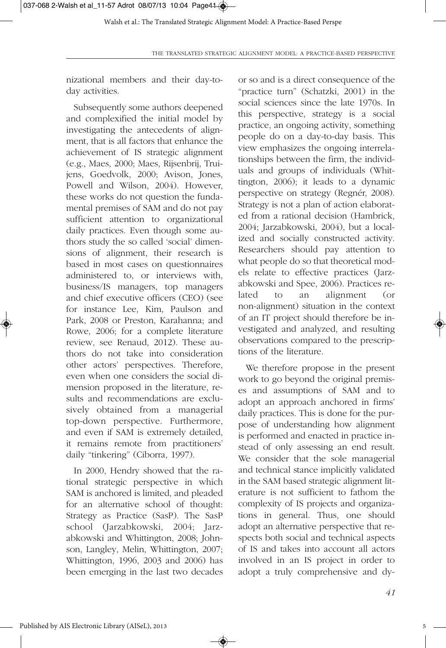nizational members and their day-today activities.

Subsequently some authors deepened and complexified the initial model by investigating the antecedents of alignment, that is all factors that enhance the achievement of IS strategic alignment (e.g., Maes, 2000; Maes, Rijsenbrij, Truijens, Goedvolk, 2000; Avison, Jones, Powell and Wilson, 2004). However, these works do not question the fundamental premises of SAM and do not pay sufficient attention to organizational daily practices. Even though some authors study the so called 'social' dimensions of alignment, their research is based in most cases on questionnaires administered to, or interviews with, business/IS managers, top managers and chief executive officers (CEO) (see for instance Lee, Kim, Paulson and Park, 2008 or Preston, Karahanna; and Rowe, 2006; for a complete literature review, see Renaud, 2012). These authors do not take into consideration other actors' perspectives. Therefore, even when one considers the social dimension proposed in the literature, results and recommendations are exclusively obtained from a managerial top-down perspective. Furthermore, and even if SAM is extremely detailed, it remains remote from practitioners' daily "tinkering" (Ciborra, 1997).

In 2000, Hendry showed that the rational strategic perspective in which SAM is anchored is limited, and pleaded for an alternative school of thought: Strategy as Practice (SasP). The SasP school (Jarzabkowski, 2004; Jarzabkowski and Whittington, 2008; Johnson, Langley, Melin, Whittington, 2007; Whittington, 1996, 2003 and 2006) has been emerging in the last two decades or so and is a direct consequence of the "practice turn" (Schatzki, 2001) in the social sciences since the late 1970s. In this perspective, strategy is a social practice, an ongoing activity, something people do on a day-to-day basis. This view emphasizes the ongoing interrelationships between the firm, the individuals and groups of individuals (Whittington, 2006); it leads to a dynamic perspective on strategy (Regnér, 2008). Strategy is not a plan of action elaborated from a rational decision (Hambrick, 2004; Jarzabkowski, 2004), but a localized and socially constructed activity. Researchers should pay attention to what people do so that theoretical models relate to effective practices (Jarzabkowski and Spee, 2006). Practices related to an alignment (or non-alignment) situation in the context of an IT project should therefore be investigated and analyzed, and resulting observations compared to the prescriptions of the literature.

We therefore propose in the present work to go beyond the original premises and assumptions of SAM and to adopt an approach anchored in firms' daily practices. This is done for the purpose of understanding how alignment is performed and enacted in practice instead of only assessing an end result. We consider that the sole managerial and technical stance implicitly validated in the SAM based strategic alignment literature is not sufficient to fathom the complexity of IS projects and organizations in general. Thus, one should adopt an alternative perspective that respects both social and technical aspects of IS and takes into account all actors involved in an IS project in order to adopt a truly comprehensive and dy-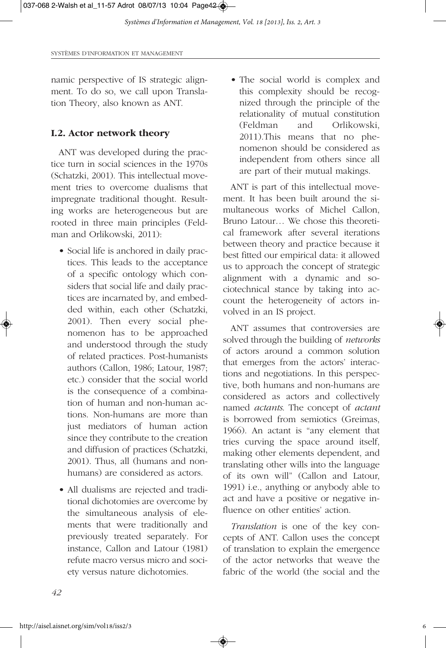namic perspective of IS strategic alignment. To do so, we call upon Translation Theory, also known as ANT.

### **I.2. Actor network theory**

ANT was developed during the practice turn in social sciences in the 1970s (Schatzki, 2001). This intellectual movement tries to overcome dualisms that impregnate traditional thought. Resulting works are heterogeneous but are rooted in three main principles (Feldman and Orlikowski, 2011):

- Social life is anchored in daily practices. This leads to the acceptance of a specific ontology which considers that social life and daily practices are incarnated by, and embedded within, each other (Schatzki, 2001). Then every social phenomenon has to be approached and understood through the study of related practices. Post-humanists authors (Callon, 1986; Latour, 1987; etc.) consider that the social world is the consequence of a combination of human and non-human actions. Non-humans are more than just mediators of human action since they contribute to the creation and diffusion of practices (Schatzki, 2001). Thus, all (humans and nonhumans) are considered as actors.
- All dualisms are rejected and traditional dichotomies are overcome by the simultaneous analysis of elements that were traditionally and previously treated separately. For instance, Callon and Latour (1981) refute macro versus micro and society versus nature dichotomies.

• The social world is complex and this complexity should be recognized through the principle of the relationality of mutual constitution (Feldman and Orlikowski, 2011).This means that no phenomenon should be considered as independent from others since all are part of their mutual makings.

ANT is part of this intellectual movement. It has been built around the simultaneous works of Michel Callon, Bruno Latour… We chose this theoretical framework after several iterations between theory and practice because it best fitted our empirical data: it allowed us to approach the concept of strategic alignment with a dynamic and sociotechnical stance by taking into account the heterogeneity of actors involved in an IS project.

ANT assumes that controversies are solved through the building of *networks* of actors around a common solution that emerges from the actors' interactions and negotiations. In this perspective, both humans and non-humans are considered as actors and collectively named *actants*. The concept of *actant* is borrowed from semiotics (Greimas, 1966). An actant is "any element that tries curving the space around itself, making other elements dependent, and translating other wills into the language of its own will" (Callon and Latour, 1991) i.e., anything or anybody able to act and have a positive or negative influence on other entities' action.

*Translation* is one of the key concepts of ANT. Callon uses the concept of translation to explain the emergence of the actor networks that weave the fabric of the world (the social and the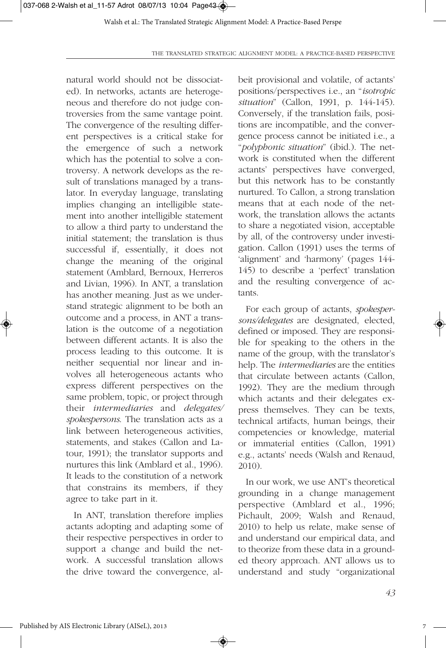natural world should not be dissociated). In networks, actants are heterogeneous and therefore do not judge controversies from the same vantage point. The convergence of the resulting different perspectives is a critical stake for the emergence of such a network which has the potential to solve a controversy. A network develops as the result of translations managed by a translator. In everyday language, translating implies changing an intelligible statement into another intelligible statement to allow a third party to understand the initial statement; the translation is thus successful if, essentially, it does not change the meaning of the original statement (Amblard, Bernoux, Herreros and Livian, 1996). In ANT, a translation has another meaning. Just as we understand strategic alignment to be both an outcome and a process, in ANT a translation is the outcome of a negotiation between different actants. It is also the process leading to this outcome. It is neither sequential nor linear and involves all heterogeneous actants who express different perspectives on the same problem, topic, or project through their *intermediaries* and *delegates/ spokespersons*. The translation acts as a link between heterogeneous activities, statements, and stakes (Callon and Latour, 1991); the translator supports and nurtures this link (Amblard et al., 1996). It leads to the constitution of a network that constrains its members, if they agree to take part in it.

In ANT, translation therefore implies actants adopting and adapting some of their respective perspectives in order to support a change and build the network. A successful translation allows the drive toward the convergence, albeit provisional and volatile, of actants' positions/perspectives i.e., an "*isotropic situation*" (Callon, 1991, p. 144-145). Conversely, if the translation fails, positions are incompatible, and the convergence process cannot be initiated i.e., a "*polyphonic situation*" (ibid.). The network is constituted when the different actants' perspectives have converged, but this network has to be constantly nurtured. To Callon, a strong translation means that at each node of the network, the translation allows the actants to share a negotiated vision, acceptable by all, of the controversy under investigation. Callon (1991) uses the terms of 'alignment' and 'harmony' (pages 144- 145) to describe a 'perfect' translation and the resulting convergence of actants.

For each group of actants, *spokespersons/delegates* are designated, elected, defined or imposed. They are responsible for speaking to the others in the name of the group, with the translator's help. The *intermediaries* are the entities that circulate between actants (Callon, 1992). They are the medium through which actants and their delegates express themselves. They can be texts, technical artifacts, human beings, their competencies or knowledge, material or immaterial entities (Callon, 1991) e.g., actants' needs (Walsh and Renaud, 2010).

In our work, we use ANT's theoretical grounding in a change management perspective (Amblard et al., 1996; Pichault, 2009; Walsh and Renaud, 2010) to help us relate, make sense of and understand our empirical data, and to theorize from these data in a grounded theory approach. ANT allows us to understand and study "organizational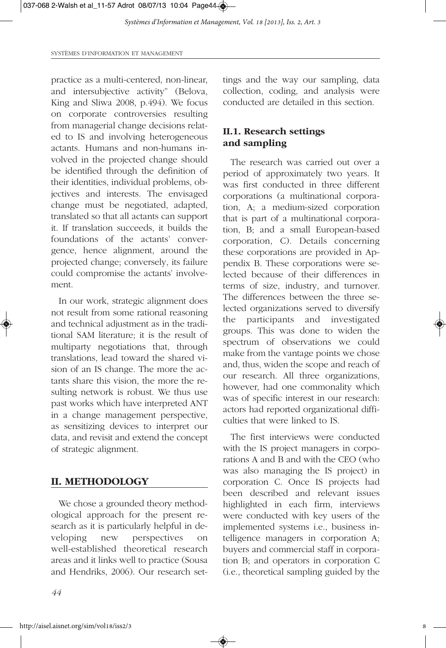SYSTÈMES D'INFORMATION ET MANAGEMENT

practice as a multi-centered, non-linear, and intersubjective activity" (Belova, King and Sliwa 2008, p.494). We focus on corporate controversies resulting from managerial change decisions related to IS and involving heterogeneous actants. Humans and non-humans involved in the projected change should be identified through the definition of their identities, individual problems, objectives and interests. The envisaged change must be negotiated, adapted, translated so that all actants can support it. If translation succeeds, it builds the foundations of the actants' convergence, hence alignment, around the projected change; conversely, its failure could compromise the actants' involvement.

In our work, strategic alignment does not result from some rational reasoning and technical adjustment as in the traditional SAM literature; it is the result of multiparty negotiations that, through translations, lead toward the shared vision of an IS change. The more the actants share this vision, the more the resulting network is robust. We thus use past works which have interpreted ANT in a change management perspective, as sensitizing devices to interpret our data, and revisit and extend the concept of strategic alignment.

### **II. METHODOLOGY**

We chose a grounded theory methodological approach for the present research as it is particularly helpful in developing new perspectives on well-established theoretical research areas and it links well to practice (Sousa and Hendriks, 2006). Our research settings and the way our sampling, data collection, coding, and analysis were conducted are detailed in this section.

## **II.1. Research settings and sampling**

The research was carried out over a period of approximately two years. It was first conducted in three different corporations (a multinational corporation, A; a medium-sized corporation that is part of a multinational corporation, B; and a small European-based corporation, C). Details concerning these corporations are provided in Appendix B. These corporations were selected because of their differences in terms of size, industry, and turnover. The differences between the three selected organizations served to diversify the participants and investigated groups. This was done to widen the spectrum of observations we could make from the vantage points we chose and, thus, widen the scope and reach of our research. All three organizations, however, had one commonality which was of specific interest in our research: actors had reported organizational difficulties that were linked to IS.

The first interviews were conducted with the IS project managers in corporations A and B and with the CEO (who was also managing the IS project) in corporation C. Once IS projects had been described and relevant issues highlighted in each firm, interviews were conducted with key users of the implemented systems i.e., business intelligence managers in corporation A; buyers and commercial staff in corporation B; and operators in corporation C (i.e., theoretical sampling guided by the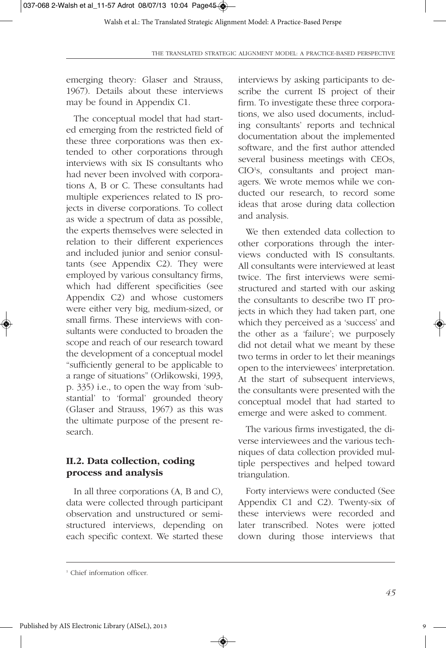emerging theory: Glaser and Strauss, 1967). Details about these interviews may be found in Appendix C1.

The conceptual model that had started emerging from the restricted field of these three corporations was then extended to other corporations through interviews with six IS consultants who had never been involved with corporations A, B or C. These consultants had multiple experiences related to IS projects in diverse corporations. To collect as wide a spectrum of data as possible, the experts themselves were selected in relation to their different experiences and included junior and senior consultants (see Appendix C2). They were employed by various consultancy firms, which had different specificities (see Appendix C2) and whose customers were either very big, medium-sized, or small firms. These interviews with consultants were conducted to broaden the scope and reach of our research toward the development of a conceptual model "sufficiently general to be applicable to a range of situations" (Orlikowski, 1993, p. 335) i.e., to open the way from 'substantial' to 'formal' grounded theory (Glaser and Strauss, 1967) as this was the ultimate purpose of the present research.

### **II.2. Data collection, coding process and analysis**

In all three corporations (A, B and C), data were collected through participant observation and unstructured or semistructured interviews, depending on each specific context. We started these interviews by asking participants to describe the current IS project of their firm. To investigate these three corporations, we also used documents, including consultants' reports and technical documentation about the implemented software, and the first author attended several business meetings with CEOs, CIO<sup>1</sup>s, consultants and project managers. We wrote memos while we conducted our research, to record some ideas that arose during data collection and analysis.

We then extended data collection to other corporations through the interviews conducted with IS consultants. All consultants were interviewed at least twice. The first interviews were semistructured and started with our asking the consultants to describe two IT projects in which they had taken part, one which they perceived as a 'success' and the other as a 'failure'; we purposely did not detail what we meant by these two terms in order to let their meanings open to the interviewees' interpretation. At the start of subsequent interviews, the consultants were presented with the conceptual model that had started to emerge and were asked to comment.

The various firms investigated, the diverse interviewees and the various techniques of data collection provided multiple perspectives and helped toward triangulation.

Forty interviews were conducted (See Appendix C1 and C2). Twenty-six of these interviews were recorded and later transcribed. Notes were jotted down during those interviews that

<sup>&</sup>lt;sup>1</sup> Chief information officer.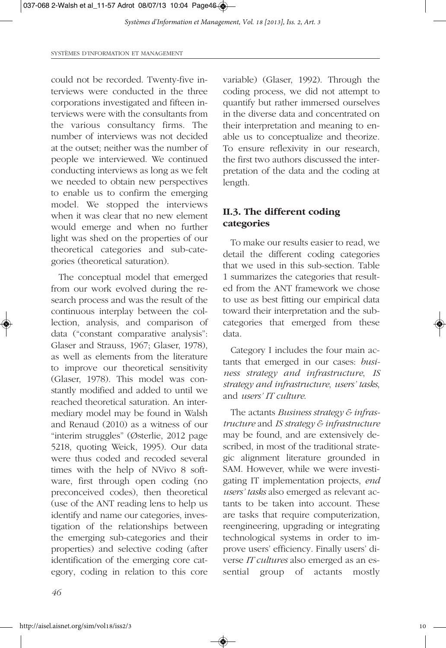could not be recorded. Twenty-five interviews were conducted in the three corporations investigated and fifteen interviews were with the consultants from the various consultancy firms. The number of interviews was not decided at the outset; neither was the number of people we interviewed. We continued conducting interviews as long as we felt we needed to obtain new perspectives to enable us to confirm the emerging model. We stopped the interviews when it was clear that no new element would emerge and when no further light was shed on the properties of our theoretical categories and sub-categories (theoretical saturation).

The conceptual model that emerged from our work evolved during the research process and was the result of the continuous interplay between the collection, analysis, and comparison of data ("constant comparative analysis": Glaser and Strauss, 1967; Glaser, 1978), as well as elements from the literature to improve our theoretical sensitivity (Glaser, 1978). This model was constantly modified and added to until we reached theoretical saturation. An intermediary model may be found in Walsh and Renaud (2010) as a witness of our "interim struggles" (Østerlie, 2012 page 5218, quoting Weick, 1995). Our data were thus coded and recoded several times with the help of NVivo 8 software, first through open coding (no preconceived codes), then theoretical (use of the ANT reading lens to help us identify and name our categories, investigation of the relationships between the emerging sub-categories and their properties) and selective coding (after identification of the emerging core category, coding in relation to this core

variable) (Glaser, 1992). Through the coding process, we did not attempt to quantify but rather immersed ourselves in the diverse data and concentrated on their interpretation and meaning to enable us to conceptualize and theorize. To ensure reflexivity in our research, the first two authors discussed the interpretation of the data and the coding at length.

## **II.3. The different coding categories**

To make our results easier to read, we detail the different coding categories that we used in this sub-section. Table 1 summarizes the categories that resulted from the ANT framework we chose to use as best fitting our empirical data toward their interpretation and the subcategories that emerged from these data.

Category I includes the four main actants that emerged in our cases: *business strategy and infrastructure*, *IS strategy and infrastructure*, *users' tasks*, and *users' IT culture*.

The actants *Business strategy & infrastructure* and *IS strategy & infrastructure* may be found, and are extensively described, in most of the traditional strategic alignment literature grounded in SAM. However, while we were investigating IT implementation projects, *end users' tasks* also emerged as relevant actants to be taken into account. These are tasks that require computerization, reengineering, upgrading or integrating technological systems in order to improve users' efficiency. Finally users' diverse *IT cultures* also emerged as an essential group of actants mostly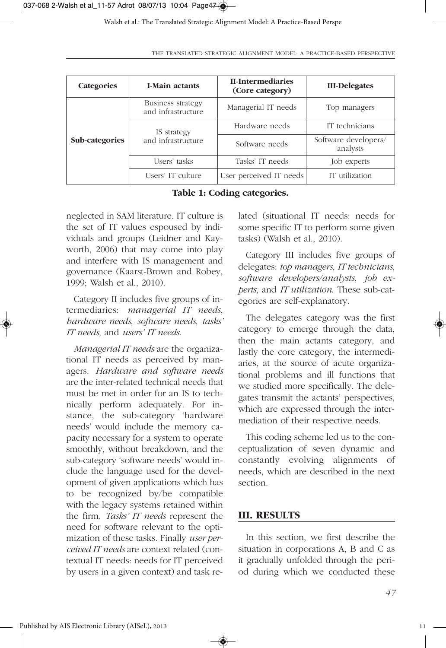| <b>Categories</b> | <b>I-Main actants</b>                   | II-Intermediaries<br>(Core category) | <b>III-Delegates</b>             |
|-------------------|-----------------------------------------|--------------------------------------|----------------------------------|
|                   | Business strategy<br>and infrastructure | Managerial IT needs                  | Top managers                     |
| Sub-categories    | IS strategy<br>and infrastructure       | Hardware needs                       | IT technicians                   |
|                   |                                         | Software needs                       | Software developers/<br>analysts |
|                   | Users' tasks                            | Tasks' IT needs                      | Job experts                      |
|                   | Users' IT culture                       | User perceived IT needs              | IT utilization                   |

**Table 1: Coding categories.**

neglected in SAM literature. IT culture is the set of IT values espoused by individuals and groups (Leidner and Kayworth, 2006) that may come into play and interfere with IS management and governance (Kaarst-Brown and Robey, 1999; Walsh et al., 2010).

Category II includes five groups of intermediaries: *managerial IT needs*, *hardware needs*, *software needs*, *tasks' IT needs*, and *users' IT needs*.

*Managerial IT needs* are the organizational IT needs as perceived by managers. *Hardware and software needs* are the inter-related technical needs that must be met in order for an IS to technically perform adequately. For instance, the sub-category 'hardware needs' would include the memory capacity necessary for a system to operate smoothly, without breakdown, and the sub-category 'software needs' would include the language used for the development of given applications which has to be recognized by/be compatible with the legacy systems retained within the firm. *Tasks' IT needs* represent the need for software relevant to the optimization of these tasks. Finally *user perceived IT needs* are context related (contextual IT needs: needs for IT perceived by users in a given context) and task related (situational IT needs: needs for some specific IT to perform some given tasks) (Walsh et al., 2010).

Category III includes five groups of delegates: *top managers*, *IT technicians*, *software developers/analysts*, *job experts*, and *IT utilization*. These sub-categories are self-explanatory.

The delegates category was the first category to emerge through the data, then the main actants category, and lastly the core category, the intermediaries, at the source of acute organizational problems and ill functions that we studied more specifically. The delegates transmit the actants' perspectives, which are expressed through the intermediation of their respective needs.

This coding scheme led us to the conceptualization of seven dynamic and constantly evolving alignments of needs, which are described in the next section.

### **III. RESULTS**

◈

In this section, we first describe the situation in corporations A, B and C as it gradually unfolded through the period during which we conducted these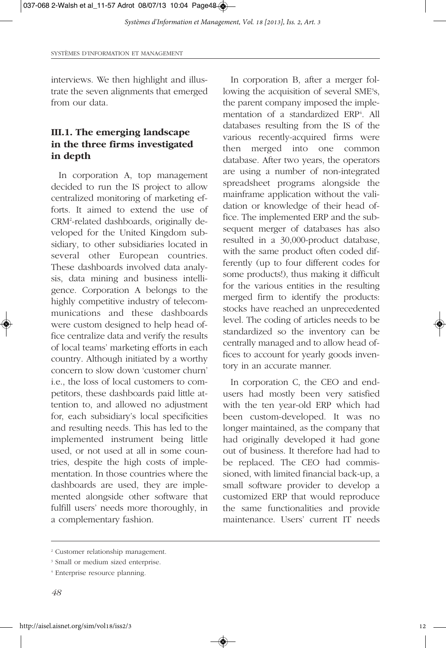interviews. We then highlight and illustrate the seven alignments that emerged from our data.

# **III.1. The emerging landscape in the three firms investigated in depth**

In corporation A, top management decided to run the IS project to allow centralized monitoring of marketing efforts. It aimed to extend the use of CRM2 -related dashboards, originally developed for the United Kingdom subsidiary, to other subsidiaries located in several other European countries. These dashboards involved data analysis, data mining and business intelligence. Corporation A belongs to the highly competitive industry of telecommunications and these dashboards were custom designed to help head office centralize data and verify the results of local teams' marketing efforts in each country. Although initiated by a worthy concern to slow down 'customer churn' i.e., the loss of local customers to competitors, these dashboards paid little attention to, and allowed no adjustment for, each subsidiary's local specificities and resulting needs. This has led to the implemented instrument being little used, or not used at all in some countries, despite the high costs of implementation. In those countries where the dashboards are used, they are implemented alongside other software that fulfill users' needs more thoroughly, in a complementary fashion.

In corporation B, after a merger following the acquisition of several SME<sup>3</sup>s, the parent company imposed the implementation of a standardized ERP<sup>4</sup>. All databases resulting from the IS of the various recently-acquired firms were then merged into one common database. After two years, the operators are using a number of non-integrated spreadsheet programs alongside the mainframe application without the validation or knowledge of their head office. The implemented ERP and the subsequent merger of databases has also resulted in a 30,000-product database, with the same product often coded differently (up to four different codes for some products!), thus making it difficult for the various entities in the resulting merged firm to identify the products: stocks have reached an unprecedented level. The coding of articles needs to be standardized so the inventory can be centrally managed and to allow head offices to account for yearly goods inventory in an accurate manner.

In corporation C, the CEO and endusers had mostly been very satisfied with the ten year-old ERP which had been custom-developed. It was no longer maintained, as the company that had originally developed it had gone out of business. It therefore had had to be replaced. The CEO had commissioned, with limited financial back-up, a small software provider to develop a customized ERP that would reproduce the same functionalities and provide maintenance. Users' current IT needs

<sup>&</sup>lt;sup>2</sup> Customer relationship management.

<sup>&</sup>lt;sup>3</sup> Small or medium sized enterprise.

<sup>4</sup> Enterprise resource planning.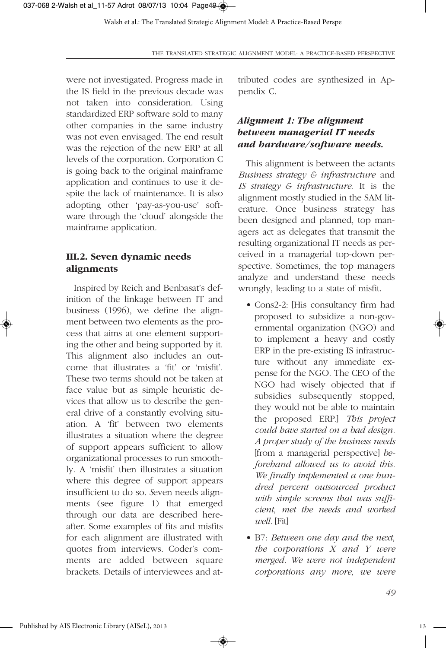were not investigated. Progress made in the IS field in the previous decade was not taken into consideration. Using standardized ERP software sold to many other companies in the same industry was not even envisaged. The end result was the rejection of the new ERP at all levels of the corporation. Corporation C is going back to the original mainframe application and continues to use it despite the lack of maintenance. It is also adopting other 'pay-as-you-use' software through the 'cloud' alongside the mainframe application.

### **III.2. Seven dynamic needs alignments**

Inspired by Reich and Benbasat's definition of the linkage between IT and business (1996), we define the alignment between two elements as the process that aims at one element supporting the other and being supported by it. This alignment also includes an outcome that illustrates a 'fit' or 'misfit'. These two terms should not be taken at face value but as simple heuristic devices that allow us to describe the general drive of a constantly evolving situation. A 'fit' between two elements illustrates a situation where the degree of support appears sufficient to allow organizational processes to run smoothly. A 'misfit' then illustrates a situation where this degree of support appears insufficient to do so. *S*even needs alignments (see figure 1) that emerged through our data are described hereafter. Some examples of fits and misfits for each alignment are illustrated with quotes from interviews. Coder's comments are added between square brackets. Details of interviewees and attributed codes are synthesized in Appendix C.

# *Alignment 1: The alignment between managerial IT needs and hardware/software needs.*

This alignment is between the actants *Business strategy & infrastructure* and *IS strategy & infrastructure*. It is the alignment mostly studied in the SAM literature. Once business strategy has been designed and planned, top managers act as delegates that transmit the resulting organizational IT needs as perceived in a managerial top-down perspective. Sometimes, the top managers analyze and understand these needs wrongly, leading to a state of misfit.

- Cons2-2: [His consultancy firm had proposed to subsidize a non-governmental organization (NGO) and to implement a heavy and costly ERP in the pre-existing IS infrastructure without any immediate expense for the NGO. The CEO of the NGO had wisely objected that if subsidies subsequently stopped, they would not be able to maintain the proposed ERP.] *This project could have started on a bad design. A proper study of the business needs* [from a managerial perspective] *beforehand allowed us to avoid this. We finally implemented a one hundred percent outsourced product with simple screens that was sufficient, met the needs and worked well.* [Fit]
- B7: *Between one day and the next, the corporations X and Y were merged. We were not independent corporations any more, we were*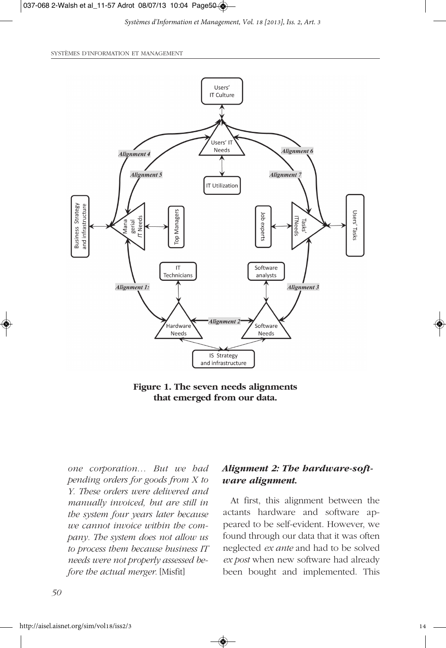#### 037-068 2-Walsh et al\_11-57 Adrot 08/07/13 10:04 Page50

*Systèmes d'Information et Management, Vol. 18 [2013], Iss. 2, Art. 3*

SYSTÈMES D'INFORMATION ET MANAGEMENT



**Figure 1. The seven needs alignments that emerged from our data.**

*one corporation… But we had pending orders for goods from X to Y. These orders were delivered and manually invoiced, but are still in the system four years later because we cannot invoice within the company. The system does not allow us to process them because business IT needs were not properly assessed before the actual merger.* [Misfit]

### *Alignment 2: The hardware-software alignment.*

At first, this alignment between the actants hardware and software appeared to be self-evident. However, we found through our data that it was often neglected *ex ante* and had to be solved *ex post* when new software had already been bought and implemented. This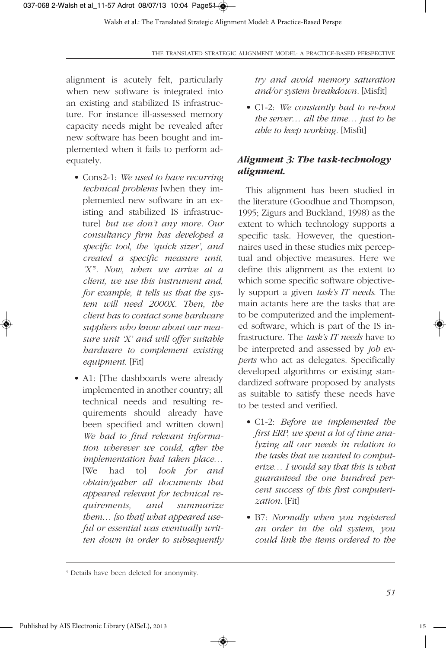alignment is acutely felt, particularly when new software is integrated into an existing and stabilized IS infrastructure. For instance ill-assessed memory capacity needs might be revealed after new software has been bought and implemented when it fails to perform adequately.

- Cons2-1: *We used to have recurring technical problems* [when they implemented new software in an existing and stabilized IS infrastructure] *but we don't any more. Our consultancy firm has developed a specific tool, the 'quick sizer', and created a specific measure unit, 'X'5 . Now, when we arrive at a client, we use this instrument and, for example, it tells us that the system will need 2000X. Then, the client has to contact some hardware suppliers who know about our measure unit 'X' and will offer suitable hardware to complement existing equipment*. [Fit]
- A1: [The dashboards were already implemented in another country; all technical needs and resulting requirements should already have been specified and written down] *We had to find relevant information wherever we could, after the implementation had taken place…* [We had to] *look for and obtain/gather all documents that appeared relevant for technical requirements, and summarize them… [so that] what appeared useful or essential was eventually written down in order to subsequently*

*try and avoid memory saturation and/or system breakdown.* [Misfit]

• C1-2: *We constantly had to re-boot the server… all the time… just to be able to keep working.* [Misfit]

# *Alignment 3: The task-technology alignment.*

This alignment has been studied in the literature (Goodhue and Thompson, 1995; Zigurs and Buckland, 1998) as the extent to which technology supports a specific task. However, the questionnaires used in these studies mix perceptual and objective measures. Here we define this alignment as the extent to which some specific software objectively support a given *task's IT needs*. The main actants here are the tasks that are to be computerized and the implemented software, which is part of the IS infrastructure. The *task's IT needs* have to be interpreted and assessed by *job experts* who act as delegates. Specifically developed algorithms or existing standardized software proposed by analysts as suitable to satisfy these needs have to be tested and verified.

- C1-2: *Before we implemented the first ERP, we spent a lot of time analyzing all our needs in relation to the tasks that we wanted to computerize… I would say that this is what guaranteed the one hundred percent success of this first computerization.* [Fit]
- B7: *Normally when you registered an order in the old system, you could link the items ordered to the*

<sup>5</sup> Details have been deleted for anonymity.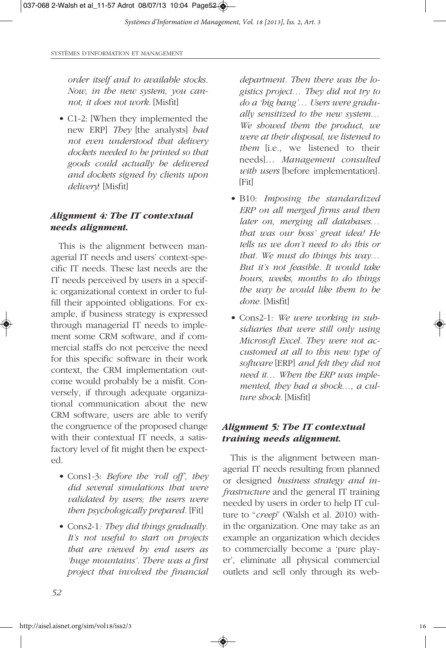*order itself and to available stocks. Now, in the new system, you cannot; it does not work.* [Misfit]

• C1-2: [When they implemented the new ERP] *They* [the analysts] *had not even understood that delivery dockets needed to be printed so that goods could actually be delivered and dockets signed by clients upon delivery*! [Misfit]

### *Alignment 4: The IT contextual needs alignment.*

This is the alignment between managerial IT needs and users' context-specific IT needs. These last needs are the IT needs perceived by users in a specific organizational context in order to fulfill their appointed obligations. For example, if business strategy is expressed through managerial IT needs to implement some CRM software, and if commercial staffs do not perceive the need for this specific software in their work context, the CRM implementation outcome would probably be a misfit. Conversely, if through adequate organizational communication about the new CRM software, users are able to verify the congruence of the proposed change with their contextual IT needs, a satisfactory level of fit might then be expected.

- Cons1-3: *Before the 'roll off', they did several simulations that were validated by users; the users were then psychologically prepared.* [Fit]
- Cons2-1*: They did things gradually. It's not useful to start on projects that are viewed by end users as 'huge mountains'. There was a first project that involved the financial*

*department. Then there was the logistics project… They did not try to do a 'big bang'… Users were gradually sensitized to the new system… We showed them the product, we were at their disposal, we listened to them* [i.e., we listened to their needs]… *Management consulted with users* [before implementation]*.* [Fit]

- B10: *Imposing the standardized ERP on all merged firms and then later on, merging all databases… that was our boss' great idea! He tells us we don't need to do this or that. We must do things his way… But it's not feasible. It would take hours, weeks, months to do things the way he would like them to be done.* [Misfit]
- Cons2-1: *We were working in subsidiaries that were still only using Microsoft Excel. They were not accustomed at all to this new type of software* [ERP] *and felt they did not need it… When the ERP was implemented, they had a shock…, a culture shock.* [Misfit]

### *Alignment 5: The IT contextual training needs alignment.*

This is the alignment between managerial IT needs resulting from planned or designed *business strategy and infrastructure* and the general IT training needed by users in order to help IT culture to "*creep*" (Walsh et al. 2010) within the organization. One may take as an example an organization which decides to commercially become a 'pure player', eliminate all physical commercial outlets and sell only through its web-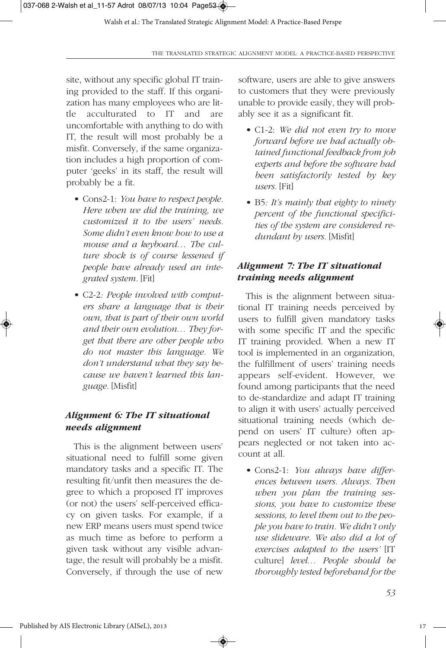site, without any specific global IT training provided to the staff. If this organization has many employees who are little acculturated to IT and are uncomfortable with anything to do with IT, the result will most probably be a misfit. Conversely, if the same organization includes a high proportion of computer 'geeks' in its staff, the result will probably be a fit.

- Cons2-1: *You have to respect people. Here when we did the training, we customized it to the users' needs. Some didn't even know how to use a mouse and a keyboard… The culture shock is of course lessened if people have already used an integrated system.* [Fit]
- C2-2*: People involved with computers share a language that is their own, that is part of their own world and their own evolution… They forget that there are other people who do not master this language. We don't understand what they say because we haven't learned this language.* [Misfit]

### *Alignment 6: The IT situational needs alignment*

This is the alignment between users' situational need to fulfill some given mandatory tasks and a specific IT. The resulting fit/unfit then measures the degree to which a proposed IT improves (or not) the users' self-perceived efficacy on given tasks. For example, if a new ERP means users must spend twice as much time as before to perform a given task without any visible advantage, the result will probably be a misfit. Conversely, if through the use of new

◈

software, users are able to give answers to customers that they were previously unable to provide easily, they will probably see it as a significant fit.

- C1-2: *We did not even try to move forward before we had actually obtained functional feedback from job experts and before the software had been satisfactorily tested by key users.* [Fit]
- B5*: It's mainly that eighty to ninety percent of the functional specificities of the system are considered redundant by users.* [Misfit]

## *Alignment 7: The IT situational training needs alignment*

This is the alignment between situational IT training needs perceived by users to fulfill given mandatory tasks with some specific IT and the specific IT training provided. When a new IT tool is implemented in an organization, the fulfillment of users' training needs appears self-evident. However, we found among participants that the need to de-standardize and adapt IT training to align it with users' actually perceived situational training needs (which depend on users' IT culture) often appears neglected or not taken into account at all.

• Cons2-1: *You always have differences between users. Always. Then when you plan the training sessions, you have to customize these sessions, to level them out to the people you have to train. We didn't only use slideware. We also did a lot of exercises adapted to the users'* [IT culture] *level… People should be thoroughly tested beforehand for the*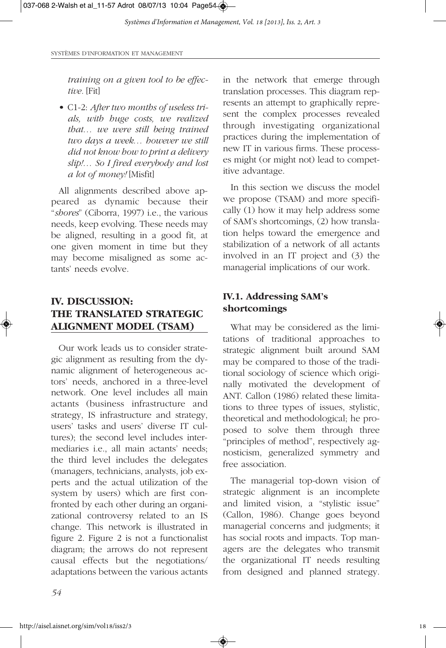*training on a given tool to be effective.* [Fit]

• C1-2: *After two months of useless trials, with huge costs, we realized that… we were still being trained two days a week… however we still did not know how to print a delivery slip!… So I fired everybody and lost a lot of money!* [Misfit]

All alignments described above appeared as dynamic because their "*shores*" (Ciborra, 1997) i.e., the various needs, keep evolving. These needs may be aligned, resulting in a good fit, at one given moment in time but they may become misaligned as some actants' needs evolve.

# **IV. DISCUSSION: THE TRANSLATED STRATEGIC ALIGNMENT MODEL (TSAM)**

Our work leads us to consider strategic alignment as resulting from the dynamic alignment of heterogeneous actors' needs, anchored in a three-level network. One level includes all main actants (business infrastructure and strategy, IS infrastructure and strategy, users' tasks and users' diverse IT cultures); the second level includes intermediaries i.e., all main actants' needs; the third level includes the delegates (managers, technicians, analysts, job experts and the actual utilization of the system by users) which are first confronted by each other during an organizational controversy related to an IS change. This network is illustrated in figure 2. Figure 2 is not a functionalist diagram; the arrows do not represent causal effects but the negotiations/ adaptations between the various actants in the network that emerge through translation processes. This diagram represents an attempt to graphically represent the complex processes revealed through investigating organizational practices during the implementation of new IT in various firms. These processes might (or might not) lead to competitive advantage.

In this section we discuss the model we propose (TSAM) and more specifically (1) how it may help address some of SAM's shortcomings, (2) how translation helps toward the emergence and stabilization of a network of all actants involved in an IT project and (3) the managerial implications of our work.

### **IV.1. Addressing SAM's shortcomings**

What may be considered as the limitations of traditional approaches to strategic alignment built around SAM may be compared to those of the traditional sociology of science which originally motivated the development of ANT. Callon (1986) related these limitations to three types of issues, stylistic, theoretical and methodological; he proposed to solve them through three "principles of method", respectively agnosticism, generalized symmetry and free association.

The managerial top-down vision of strategic alignment is an incomplete and limited vision, a "stylistic issue" (Callon, 1986). Change goes beyond managerial concerns and judgments; it has social roots and impacts. Top managers are the delegates who transmit the organizational IT needs resulting from designed and planned strategy.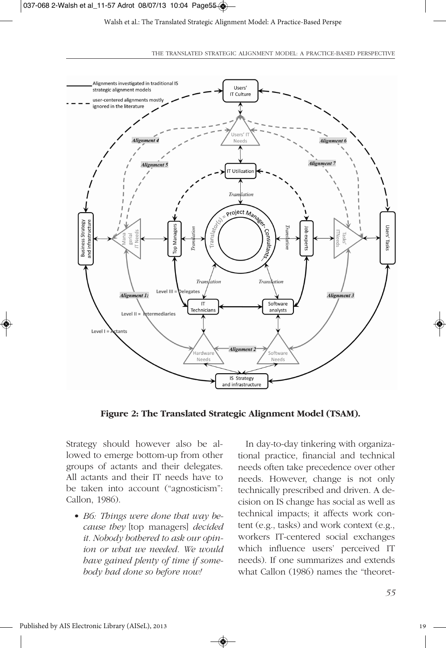

**Figure 2: The Translated Strategic Alignment Model (TSAM).**

Strategy should however also be allowed to emerge bottom-up from other groups of actants and their delegates. All actants and their IT needs have to be taken into account ("agnosticism": Callon, 1986).

• *B6: Things were done that way because they* [top managers] *decided it. Nobody bothered to ask our opinion or what we needed. We would have gained plenty of time if somebody had done so before now!* 

In day-to-day tinkering with organizational practice, financial and technical needs often take precedence over other needs. However, change is not only technically prescribed and driven. A decision on IS change has social as well as technical impacts; it affects work content (e.g., tasks) and work context (e.g., workers IT-centered social exchanges which influence users' perceived IT needs). If one summarizes and extends what Callon (1986) names the "theoret-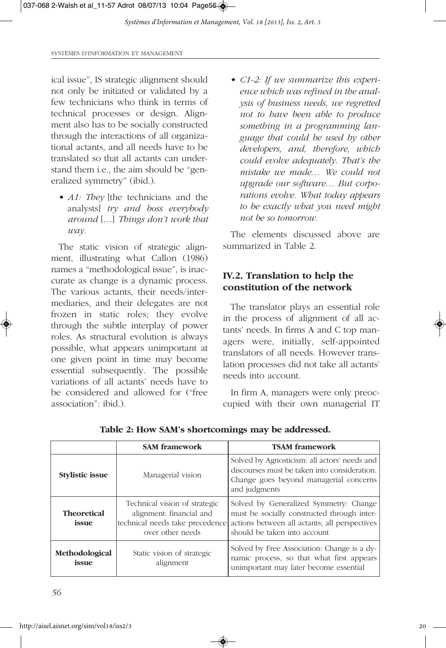ical issue", IS strategic alignment should not only be initiated or validated by a few technicians who think in terms of technical processes or design. Alignment also has to be socially constructed through the interactions of all organizational actants, and all needs have to be translated so that all actants can understand them i.e., the aim should be "generalized symmetry" (ibid.).

• *A1: They* [the technicians and the analysts] *try and boss everybody around* […] *Things don't work that way.*

The static vision of strategic alignment, illustrating what Callon (1986) names a "methodological issue", is inaccurate as change is a dynamic process. The various actants, their needs/intermediaries, and their delegates are not frozen in static roles; they evolve through the subtle interplay of power roles. As structural evolution is always possible, what appears unimportant at one given point in time may become essential subsequently. The possible variations of all actants' needs have to be considered and allowed for ("free association": ibid.).

• *C1-2: If we summarize this experience which was refined in the analysis of business needs, we regretted not to have been able to produce something in a programming language that could be used by other developers, and, therefore, which could evolve adequately. That's the mistake we made… We could not upgrade our software… But corporations evolve. What today appears to be exactly what you need might not be so tomorrow.*

The elements discussed above are summarized in Table 2.

# **IV.2. Translation to help the constitution of the network**

The translator plays an essential role in the process of alignment of all actants' needs. In firms A and C top managers were, initially, self-appointed translators of all needs. However translation processes did not take all actants' needs into account.

In firm A, managers were only preoccupied with their own managerial IT

|                                      | <b>SAM</b> framework                                                                                             | <b>TSAM</b> framework                                                                                                                                                  |
|--------------------------------------|------------------------------------------------------------------------------------------------------------------|------------------------------------------------------------------------------------------------------------------------------------------------------------------------|
| Managerial vision<br>Stylistic issue |                                                                                                                  | Solved by Agnosticism: all actors' needs and<br>discourses must be taken into consideration.<br>Change goes beyond managerial concerns<br>and judgments                |
| <b>Theoretical</b><br>issue          | Technical vision of strategic<br>alignment: financial and<br>technical needs take precedence<br>over other needs | Solved by Generalized Symmetry: Change<br>must be socially constructed through inter-<br>actions between all actants; all perspectives<br>should be taken into account |
| Methodological<br>issue              | Static vision of strategic<br>alignment                                                                          | Solved by Free Association: Change is a dy-<br>namic process, so that what first appears<br>unimportant may later become essential                                     |

**Table 2: How SAM's shortcomings may be addressed.**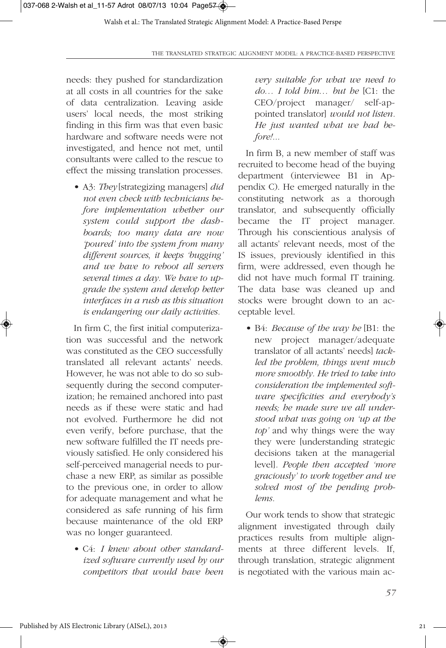needs: they pushed for standardization at all costs in all countries for the sake of data centralization. Leaving aside users' local needs, the most striking finding in this firm was that even basic hardware and software needs were not investigated, and hence not met, until consultants were called to the rescue to effect the missing translation processes.

• A3: *They* [strategizing managers] *did not even check with technicians before implementation whether our system could support the dashboards; too many data are now 'poured' into the system from many different sources*, *it keeps 'bugging' and we have to reboot all servers several times a day. We have to upgrade the system and develop better interfaces in a rush as this situation is endangering our daily activities.*

In firm C, the first initial computerization was successful and the network was constituted as the CEO successfully translated all relevant actants' needs. However, he was not able to do so subsequently during the second computerization; he remained anchored into past needs as if these were static and had not evolved. Furthermore he did not even verify, before purchase, that the new software fulfilled the IT needs previously satisfied. He only considered his self-perceived managerial needs to purchase a new ERP, as similar as possible to the previous one, in order to allow for adequate management and what he considered as safe running of his firm because maintenance of the old ERP was no longer guaranteed.

• C4: *I knew about other standardized software currently used by our competitors that would have been*

*very suitable for what we need to do… I told him… but he* [C1: the CEO/project manager/ self-appointed translator] *would not listen. He just wanted what we had before!...*

In firm B, a new member of staff was recruited to become head of the buying department (interviewee B1 in Appendix C). He emerged naturally in the constituting network as a thorough translator, and subsequently officially became the IT project manager. Through his conscientious analysis of all actants' relevant needs, most of the IS issues, previously identified in this firm, were addressed, even though he did not have much formal IT training. The data base was cleaned up and stocks were brought down to an acceptable level.

• B4: *Because of the way he* [B1: the new project manager/adequate translator of all actants' needs] *tackled the problem, things went much more smoothly. He tried to take into consideration the implemented software specificities and everybody's needs; he made sure we all understood what was going on 'up at the top'* and why things were the way they were [understanding strategic decisions taken at the managerial level]*. People then accepted 'more graciously' to work together and we solved most of the pending problems.*

Our work tends to show that strategic alignment investigated through daily practices results from multiple alignments at three different levels. If, through translation, strategic alignment is negotiated with the various main ac-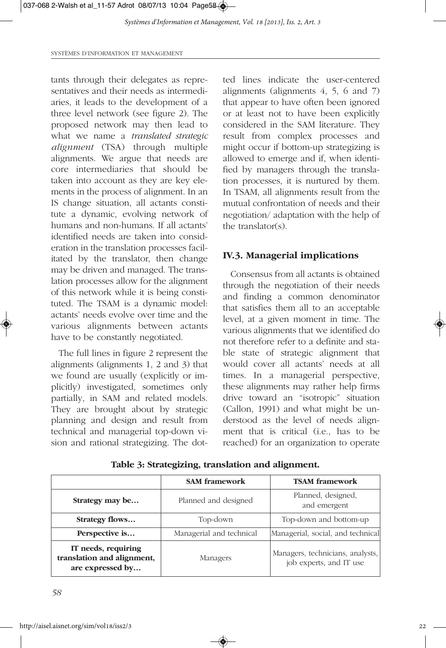SYSTÈMES D'INFORMATION ET MANAGEMENT

tants through their delegates as representatives and their needs as intermediaries, it leads to the development of a three level network (see figure 2). The proposed network may then lead to what we name a *translated strategic alignment* (TSA) through multiple alignments. We argue that needs are core intermediaries that should be taken into account as they are key elements in the process of alignment. In an IS change situation, all actants constitute a dynamic, evolving network of humans and non-humans. If all actants' identified needs are taken into consideration in the translation processes facilitated by the translator, then change may be driven and managed. The translation processes allow for the alignment of this network while it is being constituted. The TSAM is a dynamic model: actants' needs evolve over time and the various alignments between actants have to be constantly negotiated.

The full lines in figure 2 represent the alignments (alignments 1, 2 and 3) that we found are usually (explicitly or implicitly) investigated, sometimes only partially, in SAM and related models. They are brought about by strategic planning and design and result from technical and managerial top-down vision and rational strategizing. The dotted lines indicate the user-centered alignments (alignments 4, 5, 6 and 7) that appear to have often been ignored or at least not to have been explicitly considered in the SAM literature. They result from complex processes and might occur if bottom-up strategizing is allowed to emerge and if, when identified by managers through the translation processes, it is nurtured by them. In TSAM, all alignments result from the mutual confrontation of needs and their negotiation/ adaptation with the help of the translator(s).

### **IV.3. Managerial implications**

Consensus from all actants is obtained through the negotiation of their needs and finding a common denominator that satisfies them all to an acceptable level, at a given moment in time. The various alignments that we identified do not therefore refer to a definite and stable state of strategic alignment that would cover all actants' needs at all times. In a managerial perspective, these alignments may rather help firms drive toward an "isotropic" situation (Callon, 1991) and what might be understood as the level of needs alignment that is critical (i.e., has to be reached) for an organization to operate

|  | Table 3: Strategizing, translation and alignment. |  |  |
|--|---------------------------------------------------|--|--|
|  |                                                   |  |  |

|                                                                       | <b>SAM</b> framework                                          | <b>TSAM</b> framework                                       |
|-----------------------------------------------------------------------|---------------------------------------------------------------|-------------------------------------------------------------|
| Strategy may be                                                       | Planned and designed                                          | Planned, designed,<br>and emergent                          |
| <b>Strategy flows</b>                                                 | Top-down and bottom-up<br>Top-down                            |                                                             |
| Perspective is                                                        | Managerial, social, and technical<br>Managerial and technical |                                                             |
| IT needs, requiring<br>translation and alignment,<br>are expressed by | Managers                                                      | Managers, technicians, analysts,<br>job experts, and IT use |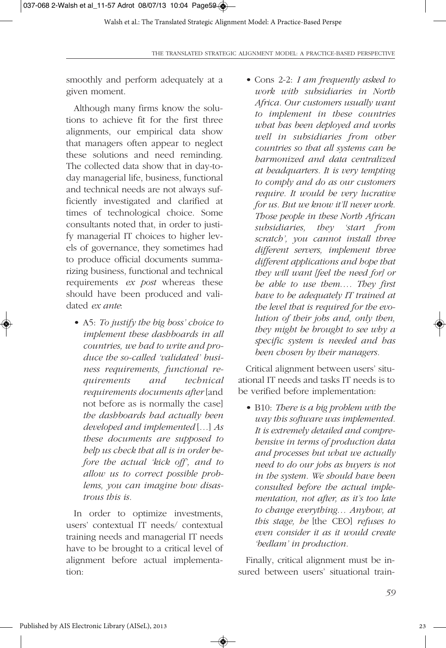smoothly and perform adequately at a given moment.

Although many firms know the solutions to achieve fit for the first three alignments, our empirical data show that managers often appear to neglect these solutions and need reminding. The collected data show that in day-today managerial life, business, functional and technical needs are not always sufficiently investigated and clarified at times of technological choice. Some consultants noted that, in order to justify managerial IT choices to higher levels of governance, they sometimes had to produce official documents summarizing business, functional and technical requirements *ex post* whereas these should have been produced and validated *ex ante*:

• A5: *To justify the big boss' choice to implement these dashboards in all countries, we had to write and produce the so-called 'validated' business requirements, functional requirements and technical requirements documents after* [and not before as is normally the case] *the dashboards had actually been developed and implemented* [*…*] *As these documents are supposed to help us check that all is in order before the actual 'kick off', and to allow us to correct possible problems, you can imagine how disastrous this is.* 

In order to optimize investments, users' contextual IT needs/ contextual training needs and managerial IT needs have to be brought to a critical level of alignment before actual implementation:

• Cons 2-2: *I am frequently asked to work with subsidiaries in North Africa. Our customers usually want to implement in these countries what has been deployed and works well in subsidiaries from other countries so that all systems can be harmonized and data centralized at headquarters. It is very tempting to comply and do as our customers require. It would be very lucrative for us. But we know it'll never work. Those people in these North African subsidiaries, they 'start from scratch', you cannot install three different servers, implement three different applications and hope that they will want [feel the need for] or be able to use them…. They first have to be adequately IT trained at the level that is required for the evolution of their jobs and, only then, they might be brought to see why a specific system is needed and has been chosen by their managers.*

Critical alignment between users' situational IT needs and tasks IT needs is to be verified before implementation:

• B10: *There is a big problem with the way this software was implemented. It is extremely detailed and comprehensive in terms of production data and processes but what we actually need to do our jobs as buyers is not in the system. We should have been consulted before the actual implementation, not after, as it's too late to change everything… Anyhow, at this stage, he* [the CEO] *refuses to even consider it as it would create 'bedlam' in production.*

Finally, critical alignment must be insured between users' situational train-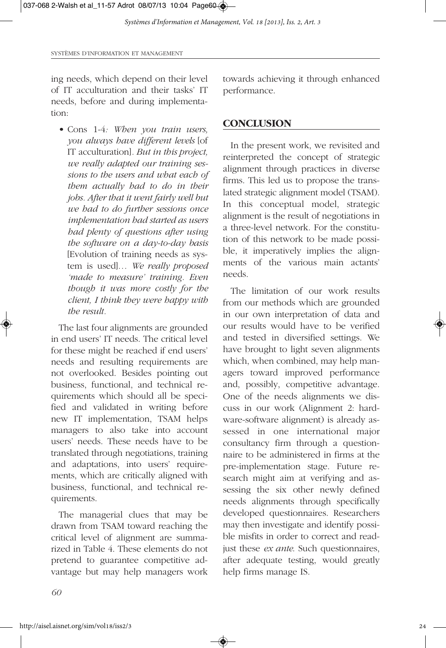ing needs, which depend on their level of IT acculturation and their tasks' IT needs, before and during implementation:

towards achieving it through enhanced performance.

### **CONCLUSION**

• Cons 1-4*: When you train users, you always have different levels* [of IT acculturation]*. But in this project, we really adapted our training sessions to the users and what each of them actually had to do in their jobs. After that it went fairly well but we had to do further sessions once implementation had started as users had plenty of questions after using the software on a day-to-day basis* [Evolution of training needs as system is used]*… We really proposed 'made to measure' training. Even though it was more costly for the client, I think they were happy with the result.*

The last four alignments are grounded in end users' IT needs. The critical level for these might be reached if end users' needs and resulting requirements are not overlooked. Besides pointing out business, functional, and technical requirements which should all be specified and validated in writing before new IT implementation, TSAM helps managers to also take into account users' needs. These needs have to be translated through negotiations, training and adaptations, into users' requirements, which are critically aligned with business, functional, and technical requirements.

The managerial clues that may be drawn from TSAM toward reaching the critical level of alignment are summarized in Table 4. These elements do not pretend to guarantee competitive advantage but may help managers work

In the present work, we revisited and reinterpreted the concept of strategic alignment through practices in diverse firms. This led us to propose the translated strategic alignment model (TSAM). In this conceptual model, strategic alignment is the result of negotiations in a three-level network. For the constitution of this network to be made possible, it imperatively implies the alignments of the various main actants' needs.

The limitation of our work results from our methods which are grounded in our own interpretation of data and our results would have to be verified and tested in diversified settings. We have brought to light seven alignments which, when combined, may help managers toward improved performance and, possibly, competitive advantage. One of the needs alignments we discuss in our work (Alignment 2: hardware-software alignment) is already assessed in one international major consultancy firm through a questionnaire to be administered in firms at the pre-implementation stage. Future research might aim at verifying and assessing the six other newly defined needs alignments through specifically developed questionnaires. Researchers may then investigate and identify possible misfits in order to correct and readjust these *ex ante*. Such questionnaires, after adequate testing, would greatly help firms manage IS.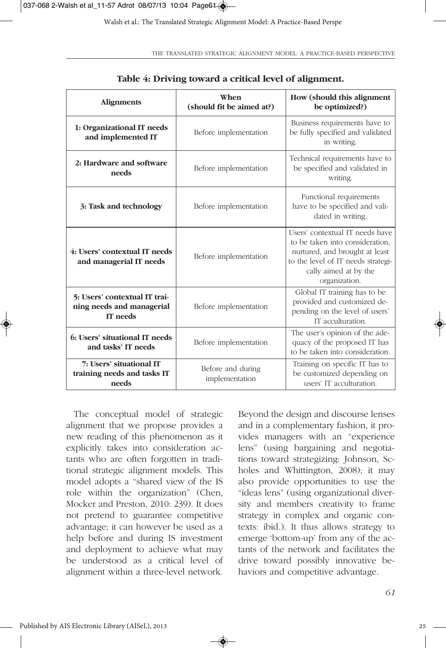| <b>Alignments</b>                                                      | When<br>(should fit be aimed at?)   | How (should this alignment<br>be optimized?)                                                                                                                                         |  |
|------------------------------------------------------------------------|-------------------------------------|--------------------------------------------------------------------------------------------------------------------------------------------------------------------------------------|--|
| 1: Organizational IT needs<br>and implemented IT                       | Before implementation               | Business requirements have to<br>be fully specified and validated<br>in writing.                                                                                                     |  |
| 2: Hardware and software<br>needs                                      | Before implementation               | Technical requirements have to<br>be specified and validated in<br>writing.                                                                                                          |  |
| 3: Task and technology                                                 | Before implementation               | Functional requirements<br>have to be specified and vali-<br>dated in writing.                                                                                                       |  |
| 4: Users' contextual IT needs<br>and managerial IT needs               | Before implementation               | Users' contextual IT needs have<br>to be taken into consideration,<br>nurtured, and brought at least<br>to the level of IT needs strategi-<br>cally aimed at by the<br>organization. |  |
| 5: Users' contextual IT trai-<br>ning needs and managerial<br>IT needs | Before implementation               | Global IT training has to be<br>provided and customized de-<br>pending on the level of users'<br>IT acculturation.                                                                   |  |
| 6: Users' situational IT needs<br>and tasks' IT needs                  | Before implementation               | The user's opinion of the ade-<br>quacy of the proposed IT has<br>to be taken into consideration.                                                                                    |  |
| 7: Users' situational IT<br>training needs and tasks IT<br>needs       | Before and during<br>implementation | Training on specific IT has to<br>be customized depending on<br>users' IT acculturation.                                                                                             |  |

◈

### **Table 4: Driving toward a critical level of alignment.**

The conceptual model of strategic alignment that we propose provides a new reading of this phenomenon as it explicitly takes into consideration actants who are often forgotten in traditional strategic alignment models. This model adopts a "shared view of the IS role within the organization" (Chen, Mocker and Preston, 2010: 239). It does not pretend to guarantee competitive advantage; it can however be used as a help before and during IS investment and deployment to achieve what may be understood as a critical level of alignment within a three-level network. Beyond the design and discourse lenses and in a complementary fashion, it provides managers with an "experience lens" (using bargaining and negotiations toward strategizing: Johnson, Scholes and Whittington, 2008); it may also provide opportunities to use the "ideas lens" (using organizational diversity and members creativity to frame strategy in complex and organic contexts: ibid.). It thus allows strategy to emerge 'bottom-up' from any of the actants of the network and facilitates the drive toward possibly innovative behaviors and competitive advantage.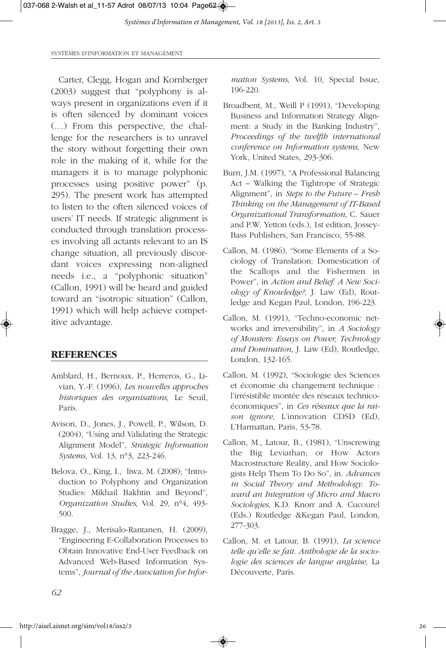SYSTÈMES D'INFORMATION ET MANAGEMENT

Carter, Clegg, Hogan and Kornberger (2003) suggest that "polyphony is always present in organizations even if it is often silenced by dominant voices (…) From this perspective, the challenge for the researchers is to unravel the story without forgetting their own role in the making of it, while for the managers it is to manage polyphonic processes using positive power" (p. 295). The present work has attempted to listen to the often silenced voices of users' IT needs. If strategic alignment is conducted through translation processes involving all actants relevant to an IS change situation, all previously discordant voices expressing non-aligned needs i.e., a "polyphonic situation" (Callon, 1991) will be heard and guided toward an "isotropic situation" (Callon, 1991) which will help achieve competitive advantage.

### **REFERENCES**

- Amblard, H., Bernoux, P., Herreros, G., Livian, Y.-F. (1996), *Les nouvelles approches historiques des organisations*, Le Seuil, Paris.
- Avison, D., Jones, J., Powell, P., Wilson, D. (2004), "Using and Validating the Strategic Alignment Model", *Strategic Information Systems*, Vol. 13, n°3, 223-246.
- Belova, O., King, I., liwa, M. (2008); "Introduction to Polyphony and Organization Studies: Mikhail Bakhtin and Beyond", *Organization Studies*, Vol. 29, n°4, 493- 500.
- Bragge, J., Merisalo-Rantanen, H. (2009), "Engineering E-Collaboration Processes to Obtain Innovative End-User Feedback on Advanced Web-Based Information Systems", *Journal of the Association for Infor-*

*mation Systems*, Vol. 10, Special Issue, 196-220.

- Broadbent, M., Weill P (1991), "Developing Business and Information Strategy Alignment: a Study in the Banking Industry", *Proceedings of the twelfth international conference on Information systems*, New York, United States, 293-306.
- Burn, J.M. (1997), "A Professional Balancing Act – Walking the Tightrope of Strategic Alignment", in *Steps to the Future – Fresh Thinking on the Management of IT-Based Organizational Transformation*, C. Sauer and P.W. Yetton (eds.), 1st edition, Jossey-Bass Publishers, San Francisco, 55-88.
- Callon, M. (1986), "Some Elements of a Sociology of Translation: Domestication of the Scallops and the Fishermen in Power", in *Action and Belief: A New Sociology of Knowledge?,* J. Law (Ed), Routledge and Kegan Paul, London, 196-223.
- Callon, M. (1991), "Techno-economic networks and irreversibility", in *A Sociology of Monsters: Essays on Power, Technology and Domination*, J. Law (Ed), Routledge, London, 132-165.
- Callon, M. (1992), "Sociologie des Sciences et économie du changement technique : l'irrésistible montée des réseaux technicoéconomiques", in *Ces réseaux que la raison ignore*, L'innovation CDSD (Ed), L'Harmattan, Paris, 53-78.
- Callon, M., Latour, B., (1981), "Unscrewing the Big Leviathan; or How Actors Macrostructure Reality, and How Sociologists Help Them To Do So", in. *Advances in Social Theory and Methodology. Toward an Integration of Micro and Macro Sociologies*, K.D. Knorr and A. Cucourel (Eds.) Routledge &Kegan Paul, London, 277-303.
- Callon, M. et Latour, B. (1991), *La science telle qu'elle se fait. Anthologie de la sociologie des sciences de langue anglaise*, La Découverte, Paris.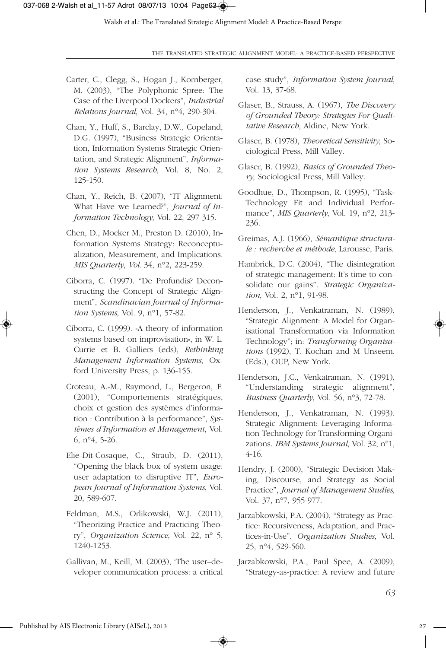- Carter, C., Clegg, S., Hogan J., Kornberger, M. (2003), "The Polyphonic Spree: The Case of the Liverpool Dockers", *Industrial Relations Journal*, Vol. 34, n°4, 290-304.
- Chan, Y., Huff, S., Barclay, D.W., Copeland, D.G. (1997), "Business Strategic Orientation, Information Systems Strategic Orientation, and Strategic Alignment", *Information Systems Research*, Vol. 8, No. 2, 125-150.
- Chan, Y., Reich, B. (2007), "IT Alignment: What Have we Learned?", *Journal of Information Technology*, Vol. 22, 297-315.
- Chen, D., Mocker M., Preston D. (2010), Information Systems Strategy: Reconceptualization, Measurement, and Implications. *MIS Quarterly, Vol.* 34, n°2, 223-259.
- Ciborra, C. (1997). "De Profundis? Deconstructing the Concept of Strategic Alignment", *Scandinavian Journal of Information Systems*, Vol. 9, n°1, 57-82.
- Ciborra, C. (1999). «A theory of information systems based on improvisation», in W. L. Currie et B. Galliers (eds), *Rethinking Management Information Systems*, Oxford University Press, p. 136-155.
- Croteau, A.-M., Raymond, L., Bergeron, F. (2001), "Comportements stratégiques, choix et gestion des systèmes d'information : Contribution à la performance", *Systèmes d'Information et Management*, Vol. 6, n°4, 5-26.
- Elie-Dit-Cosaque, C., Straub, D. (2011), "Opening the black box of system usage: user adaptation to disruptive IT", *European Journal of Information Systems*, Vol. 20, 589-607.
- Feldman, M.S., Orlikowski, W.J. (2011), "Theorizing Practice and Practicing Theory", *Organization Science*, Vol. 22, n° 5, 1240-1253.
- Gallivan, M., Keill, M. (2003), 'The user–developer communication process: a critical

◈

case study", *Information System Journal*, Vol. 13, 37-68.

- Glaser, B., Strauss, A. (1967), *The Discovery of Grounded Theory: Strategies For Qualitative Research,* Aldine, New York.
- Glaser, B. (1978), *Theoretical Sensitivity*, Sociological Press, Mill Valley.
- Glaser, B. (1992), *Basics of Grounded Theory*, Sociological Press, Mill Valley.
- Goodhue, D., Thompson, R. (1995), "Task-Technology Fit and Individual Performance", *MIS Quarterly*, Vol. 19, n°2, 213- 236.
- Greimas, A.J. (1966), *Sémantique structurale : recherche et méthode*, Larousse, Paris.
- Hambrick, D.C. (2004), "The disintegration of strategic management: It's time to consolidate our gains". *Strategic Organization*, Vol. 2, n°1, 91-98.
- Henderson, J., Venkatraman, N. (1989), "Strategic Alignment: A Model for Organisational Transformation via Information Technology"; in: *Transforming Organisations* (1992), T. Kochan and M Unseem. (Eds.), OUP, New York.
- Henderson, J.C., Venkatraman, N. (1991), "Understanding strategic alignment", *Business Quarterly*, Vol. 56, n°3, 72-78.
- Henderson, J., Venkatraman, N. (1993). Strategic Alignment: Leveraging Information Technology for Transforming Organizations. *IBM Systems Journal*, Vol. 32, n°1, 4-16.
- Hendry, J. (2000), "Strategic Decision Making, Discourse, and Strategy as Social Practice", *Journal of Management Studies*, Vol. 37, n°7, 955-977.
- Jarzabkowski, P.A. (2004), "Strategy as Practice: Recursiveness, Adaptation, and Practices-in-Use", *Organization Studies*, Vol. 25, n°4, 529-560.
- Jarzabkowski, P.A., Paul Spee, A. (2009), "Strategy-as-practice: A review and future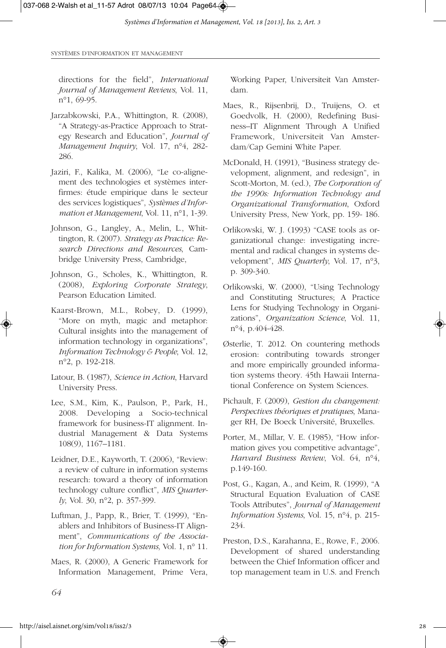directions for the field", *International Journal of Management Reviews*, Vol. 11, n°1, 69-95.

- Jarzabkowski, P.A., Whittington, R. (2008), "A Strategy-as-Practice Approach to Strategy Research and Education", *Journal of Management Inquiry*, Vol. 17, n°4, 282- 286.
- Jaziri, F., Kalika, M. (2006), "Le co-alignement des technologies et systèmes interfirmes: étude empirique dans le secteur des services logistiques", *Systèmes d'Information et Management*, Vol. 11, n°1, 1-39.
- Johnson, G., Langley, A., Melin, L., Whittington, R. (2007). *Strategy as Practice: Research Directions and Resources*, Cambridge University Press, Cambridge,
- Johnson, G., Scholes, K., Whittington, R. (2008), *Exploring Corporate Strategy*, Pearson Education Limited.
- Kaarst-Brown, M.L., Robey, D. (1999), "More on myth, magic and metaphor: Cultural insights into the management of information technology in organizations", *Information Technology & People*, Vol. 12, n°2, p. 192-218.
- Latour, B. (1987), *Science in Action*, Harvard University Press.
- Lee, S.M., Kim, K., Paulson, P., Park, H., 2008. Developing a Socio-technical framework for business-IT alignment. Industrial Management & Data Systems 108(9), 1167–1181.
- Leidner, D.E., Kayworth, T. (2006), "Review: a review of culture in information systems research: toward a theory of information technology culture conflict", *MIS Quarterly*, Vol. 30, n°2, p. 357-399.
- Luftman, J., Papp, R., Brier, T. (1999), "Enablers and Inhibitors of Business-IT Alignment", *Communications of the Association for Information Systems,* Vol. 1, n° 11.
- Maes, R. (2000), A Generic Framework for Information Management, Prime Vera,

Working Paper, Universiteit Van Amsterdam.

- Maes, R., Rijsenbrij, D., Truijens, O. et Goedvolk, H. (2000), Redefining Business–IT Alignment Through A Unified Framework, Universiteit Van Amsterdam/Cap Gemini White Paper.
- McDonald, H. (1991), "Business strategy development, alignment, and redesign", in Scott-Morton, M. (ed.), *The Corporation of the 1990s: Information Technology and Organizational Transformation*, Oxford University Press, New York, pp. 159- 186.
- Orlikowski, W. J. (1993) "CASE tools as organizational change: investigating incremental and radical changes in systems development", *MIS Quarterly*, Vol. 17, n°3, p. 309-340.
- Orlikowski, W. (2000), "Using Technology and Constituting Structures; A Practice Lens for Studying Technology in Organizations", *Organization Science*, Vol. 11, n°4, p.404-428.
- Østerlie, T. 2012. On countering methods erosion: contributing towards stronger and more empirically grounded information systems theory. 45th Hawaii International Conference on System Sciences.
- Pichault, F. (2009), *Gestion du changement: Perspectives théoriques et pratiques*, Manager RH, De Boeck Université, Bruxelles.
- Porter, M., Millar, V. E. (1985), "How information gives you competitive advantage", *Harvard Business Review*, Vol. 64, n°4, p.149-160.
- Post, G., Kagan, A., and Keim, R. (1999), "A Structural Equation Evaluation of CASE Tools Attributes", *Journal of Management Information Systems*, Vol. 15, n°4, p. 215- 234.
- Preston, D.S., Karahanna, E., Rowe, F., 2006. Development of shared understanding between the Chief Information officer and top management team in U.S. and French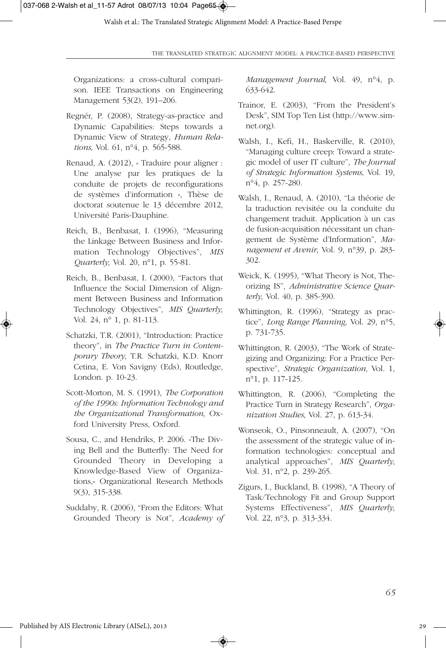Organizations: a cross-cultural comparison. IEEE Transactions on Engineering Management 53(2), 191–206.

- Regnér, P. (2008), Strategy-as-practice and Dynamic Capabilities: Steps towards a Dynamic View of Strategy, *Human Relations*, Vol. 61, n°4, p. 565-588.
- Renaud, A. (2012), « Traduire pour aligner : Une analyse par les pratiques de la conduite de projets de reconfigurations de systèmes d'information », Thèse de doctorat soutenue le 13 décembre 2012, Université Paris-Dauphine.
- Reich, B., Benbasat, I. (1996), "Measuring the Linkage Between Business and Information Technology Objectives", *MIS Quarterly*, Vol. 20, n°1, p. 55-81.
- Reich, B., Benbasat, I. (2000), "Factors that Influence the Social Dimension of Alignment Between Business and Information Technology Objectives", *MIS Quarterly*, Vol. 24, n° 1, p. 81-113.
- Schatzki, T.R. (2001), "Introduction: Practice theory", in *The Practice Turn in Contemporary Theory*, T.R. Schatzki, K.D. Knorr Cetina, E. Von Savigny (Eds), Routledge, London. p. 10-23.
- Scott-Morton, M. S. (1991), *The Corporation of the 1990s: Information Technology and the Organizational Transformation*, Oxford University Press, Oxford.
- Sousa, C., and Hendriks, P. 2006. «The Diving Bell and the Butterfly: The Need for Grounded Theory in Developing a Knowledge-Based View of Organizations,» Organizational Research Methods 9(3), 315-338.
- Suddaby, R. (2006), "From the Editors: What Grounded Theory is Not", *Academy of*

◈

*Management Journal*, Vol. 49, n°4, p. 633-642.

- Trainor, E. (2003), "From the President's Desk", SIM Top Ten List (http://www.simnet.org).
- Walsh, I., Kefi, H., Baskerville, R. (2010), "Managing culture creep: Toward a strategic model of user IT culture", *The Journal of Strategic Information Systems*, Vol. 19, n°4, p. 257-280.
- Walsh, I., Renaud, A. (2010), "La théorie de la traduction revisitée ou la conduite du changement traduit. Application à un cas de fusion-acquisition nécessitant un changement de Système d'Information", *Management et Avenir*, Vol. 9, n°39, p. 283- 302.
- Weick, K. (1995), "What Theory is Not, Theorizing IS", *Administrative Science Quarterly*, Vol. 40, p. 385-390.
- Whittington, R. (1996), "Strategy as practice", *Long Range Planning*, Vol. 29, n°5, p. 731-735.
- Whittington, R. (2003), "The Work of Strategizing and Organizing: For a Practice Perspective", *Strategic Organization*, Vol. 1, n°1, p. 117-125.
- Whittington, R. (2006), "Completing the Practice Turn in Strategy Research", *Organization Studies*, Vol. 27, p. 613-34.
- Wonseok, O., Pinsonneault, A. (2007), "On the assessment of the strategic value of information technologies: conceptual and analytical approaches", *MIS Quarterly*, Vol. 31, n°2, p. 239-265.
- Zigurs, I., Buckland, B. (1998), "A Theory of Task/Technology Fit and Group Support Systems Effectiveness", *MIS Quarterly*, Vol. 22, n°3, p. 313-334.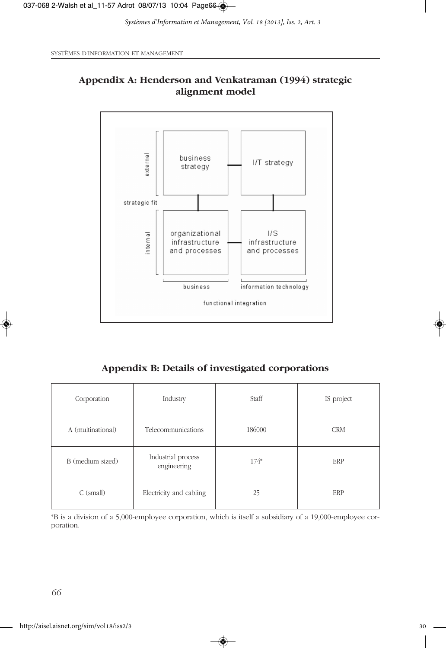

# **Appendix A: Henderson and Venkatraman (1994) strategic alignment model**

**Appendix B: Details of investigated corporations**

| Corporation                            | Industry                          | Staff  | IS project |
|----------------------------------------|-----------------------------------|--------|------------|
| A (multinational)                      | Telecommunications                | 186000 | <b>CRM</b> |
| B (medium sized)                       | Industrial process<br>engineering | $174*$ | ERP        |
| Electricity and cabling<br>$C$ (small) |                                   | 25     | ERP        |

\*B is a division of a 5,000-employee corporation, which is itself a subsidiary of a 19,000-employee corporation.

◈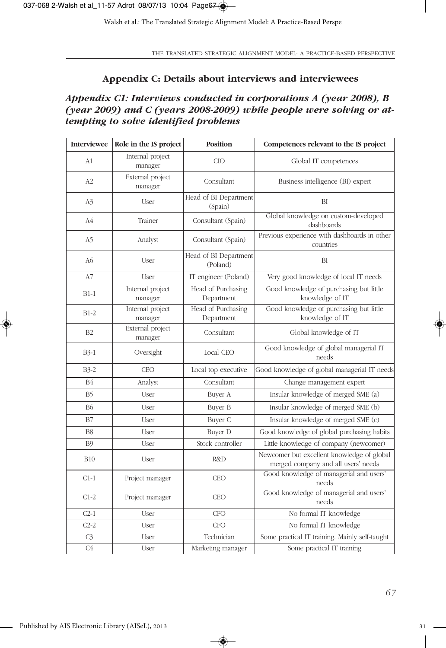Walsh et al.: The Translated Strategic Alignment Model: A Practice-Based Perspe

THE TRANSLATED STRATEGIC ALIGNMENT MODEL: A PRACTICE-BASED PERSPECTIVE

### **Appendix C: Details about interviews and interviewees**

# *Appendix C1: Interviews conducted in corporations A (year 2008), B (year 2009) and C (years 2008-2009) while people were solving or attempting to solve identified problems*

| <b>Interviewee</b> | Role in the IS project      | <b>Position</b>                   | Competences relevant to the IS project                                            |
|--------------------|-----------------------------|-----------------------------------|-----------------------------------------------------------------------------------|
| A1                 | Internal project<br>manager | CIO                               | Global IT competences                                                             |
| A2                 | External project<br>manager | Consultant                        | Business intelligence (BI) expert                                                 |
| A3                 | User                        | Head of BI Department<br>(Spain)  | BI                                                                                |
| A <sub>4</sub>     | Trainer                     | Consultant (Spain)                | Global knowledge on custom-developed<br>dashboards                                |
| A <sub>5</sub>     | Analyst                     | Consultant (Spain)                | Previous experience with dashboards in other<br>countries                         |
| A <sub>6</sub>     | User                        | Head of BI Department<br>(Poland) | BI                                                                                |
| A7                 | User                        | IT engineer (Poland)              | Very good knowledge of local IT needs                                             |
| $B1-1$             | Internal project<br>manager | Head of Purchasing<br>Department  | Good knowledge of purchasing but little<br>knowledge of IT                        |
| $B1-2$             | Internal project<br>manager | Head of Purchasing<br>Department  | Good knowledge of purchasing but little<br>knowledge of IT                        |
| B <sub>2</sub>     | External project<br>manager | Consultant                        | Global knowledge of IT                                                            |
| $B3-1$             | Oversight                   | Local CEO                         | Good knowledge of global managerial IT<br>needs                                   |
| $B3-2$             | <b>CEO</b>                  | Local top executive               | Good knowledge of global managerial IT needs                                      |
| <b>B4</b>          | Analyst                     | Consultant                        | Change management expert                                                          |
| B <sub>5</sub>     | User                        | Buyer A                           | Insular knowledge of merged SME (a)                                               |
| <b>B6</b>          | User                        | Buyer B                           | Insular knowledge of merged SME (b)                                               |
| B7                 | User                        | Buyer C                           | Insular knowledge of merged SME (c)                                               |
| B <sub>8</sub>     | User                        | <b>Buyer D</b>                    | Good knowledge of global purchasing habits                                        |
| <b>B</b> 9         | User                        | Stock controller                  | Little knowledge of company (newcomer)                                            |
| <b>B10</b>         | User                        | R&D                               | Newcomer but excellent knowledge of global<br>merged company and all users' needs |
| $C1-1$             | Project manager             | <b>CEO</b>                        | Good knowledge of managerial and users'<br>needs                                  |
| $C1-2$             | Project manager             | <b>CEO</b>                        | Good knowledge of managerial and users'<br>needs                                  |
| $C2-1$             | User                        | <b>CFO</b>                        | No formal IT knowledge                                                            |
| $C2-2$             | User                        | <b>CFO</b>                        | No formal IT knowledge                                                            |
| C <sub>3</sub>     | User                        | Technician                        | Some practical IT training. Mainly self-taught                                    |
| C4                 | User                        | Marketing manager                 | Some practical IT training                                                        |

 $\bigcirc$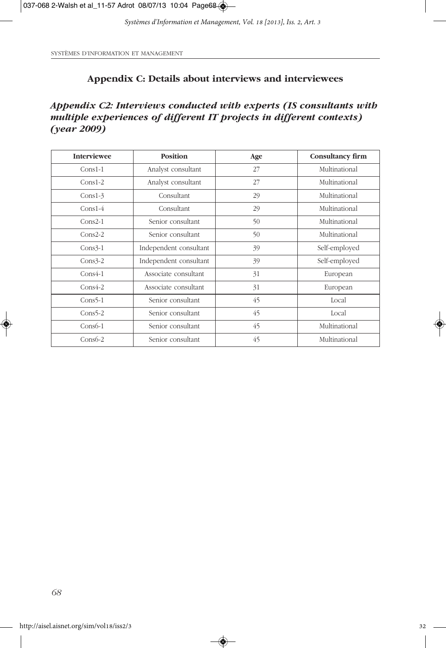SYSTÈMES D'INFORMATION ET MANAGEMENT

## **Appendix C: Details about interviews and interviewees**

*Appendix C2: Interviews conducted with experts (IS consultants with multiple experiences of different IT projects in different contexts) (year 2009)*

| <b>Interviewee</b> | <b>Position</b>        | Age | Consultancy firm |
|--------------------|------------------------|-----|------------------|
| $Cons1-1$          | Analyst consultant     | 27  | Multinational    |
| $Cons1-2$          | Analyst consultant     | 27  | Multinational    |
| $Cons1-3$          | Consultant             | 29  | Multinational    |
| $Cons1-4$          | Consultant             | 29  | Multinational    |
| $Cons2-1$          | Senior consultant      | 50  | Multinational    |
| $Cons2-2$          | Senior consultant      | 50  | Multinational    |
| $Cons3-1$          | Independent consultant | 39  | Self-employed    |
| $Cons3-2$          | Independent consultant | 39  | Self-employed    |
| $Cons4-1$          | Associate consultant   | 31  | European         |
| $Cons4-2$          | Associate consultant   | 31  | European         |
| $Cons5-1$          | Senior consultant      | 45  | Local            |
| $Cons5-2$          | Senior consultant      | 45  | Local            |
| $Cons6-1$          | Senior consultant      | 45  | Multinational    |
| $Cons6-2$          | Senior consultant      | 45  | Multinational    |

 $\bigcirc$